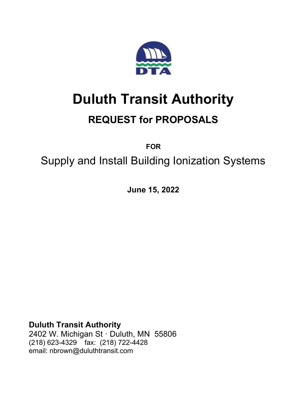

# Duluth Transit Authority

# REQUEST for PROPOSALS

FOR

Supply and Install Building Ionization Systems

June 15, 2022

Duluth Transit Authority

2402 W. Michigan St · Duluth, MN 55806 (218) 623-4329 fax: (218) 722-4428 email: nbrown@duluthtransit.com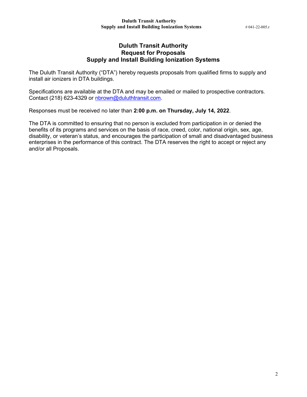### Duluth Transit Authority Request for Proposals Supply and Install Building Ionization Systems

The Duluth Transit Authority ("DTA") hereby requests proposals from qualified firms to supply and install air ionizers in DTA buildings.

Specifications are available at the DTA and may be emailed or mailed to prospective contractors. Contact (218) 623-4329 or nbrown@duluthtransit.com.

Responses must be received no later than 2:00 p.m. on Thursday, July 14, 2022.

The DTA is committed to ensuring that no person is excluded from participation in or denied the benefits of its programs and services on the basis of race, creed, color, national origin, sex, age, disability, or veteran's status, and encourages the participation of small and disadvantaged business enterprises in the performance of this contract. The DTA reserves the right to accept or reject any and/or all Proposals.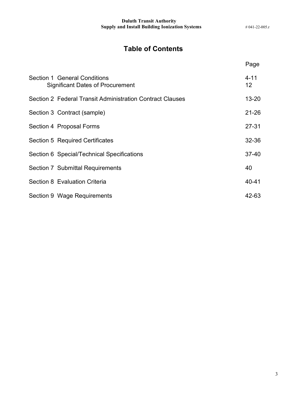# Table of Contents

|                                                                                | Page           |
|--------------------------------------------------------------------------------|----------------|
| <b>Section 1 General Conditions</b><br><b>Significant Dates of Procurement</b> | $4 - 11$<br>12 |
| Section 2 Federal Transit Administration Contract Clauses                      | 13-20          |
| Section 3 Contract (sample)                                                    | $21 - 26$      |
| Section 4 Proposal Forms                                                       | $27 - 31$      |
| Section 5 Required Certificates                                                | $32 - 36$      |
| Section 6 Special/Technical Specifications                                     | $37 - 40$      |
| Section 7 Submittal Requirements                                               | 40             |
| Section 8 Evaluation Criteria                                                  | 40-41          |
| Section 9 Wage Requirements                                                    | 42-63          |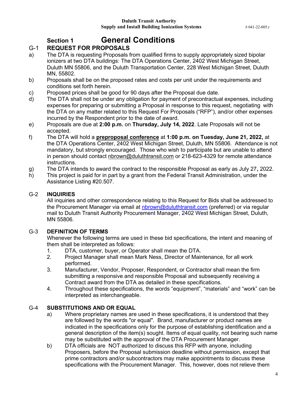# Section 1 General Conditions

### G-1 REQUEST FOR PROPOSALS

- a) The DTA is requesting Proposals from qualified firms to supply appropriately sized bipolar ionizers at two DTA buildings: The DTA Operations Center, 2402 West Michigan Street, Duluth MN 55806, and the Duluth Transportation Center, 228 West Michigan Street, Duluth MN, 55802.
- b) Proposals shall be on the proposed rates and costs per unit under the requirements and conditions set forth herein.
- c) Proposed prices shall be good for 90 days after the Proposal due date.
- d) The DTA shall not be under any obligation for payment of precontractual expenses, including expenses for preparing or submitting a Proposal in response to this request, negotiating with the DTA on any matter related to this Request For Proposals ("RFP"), and/or other expenses incurred by the Respondent prior to the date of award.
- e) Proposals are due at 2:00 p.m. on Thursday, July 14, 2022. Late Proposals will not be accepted.
- f) The DTA will hold a preproposal conference at 1:00 p.m. on Tuesday, June 21, 2022, at the DTA Operations Center, 2402 West Michigan Street, Duluth, MN 55806. Attendance is not mandatory, but strongly encouraged. Those who wish to participate but are unable to attend in person should contact nbrown@duluthtransit.com or 218-623-4329 for remote attendance instructions.
- g) The DTA intends to award the contract to the responsible Proposal as early as July 27, 2022.
- h) This project is paid for in part by a grant from the Federal Transit Administration, under the Assistance Listing #20.507.

### G-2 INQUIRIES

All inquiries and other correspondence relating to this Request for Bids shall be addressed to the Procurement Manager via email at nbrown@duluthtransit.com (preferred) or via regular mail to Duluth Transit Authority Procurement Manager, 2402 West Michigan Street, Duluth, MN 55806.

### G-3 DEFINITION OF TERMS

Whenever the following terms are used in these bid specifications, the intent and meaning of them shall be interpreted as follows:

- 1. DTA, customer, buyer, or Operator shall mean the DTA.
- 2. Project Manager shall mean Mark Ness, Director of Maintenance, for all work performed.
- 3. Manufacturer, Vendor, Proposer, Respondent, or Contractor shall mean the firm submitting a responsive and responsible Proposal and subsequently receiving a Contract award from the DTA as detailed in these specifications.
- 4. Throughout these specifications, the words "equipment", "materials" and "work" can be interpreted as interchangeable.

### G-4 SUBSTITUTIONS AND OR EQUAL

- a) Where proprietary names are used in these specifications, it is understood that they are followed by the words "or equal". Brand, manufacturer or product names are indicated in the specifications only for the purpose of establishing identification and a general description of the item(s) sought. Items of equal quality, not bearing such name may be substituted with the approval of the DTA Procurement Manager.
- b) DTA officials are NOT authorized to discuss this RFP with anyone, including Proposers, before the Proposal submission deadline without permission, except that prime contractors and/or subcontractors may make appointments to discuss these specifications with the Procurement Manager. This, however, does not relieve them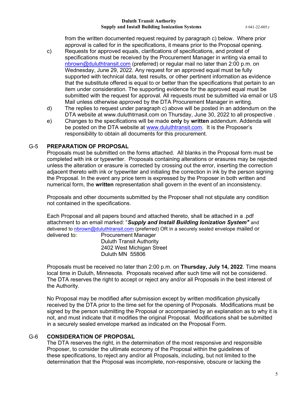from the written documented request required by paragraph c) below. Where prior approval is called for in the specifications, it means prior to the Proposal opening.

- c) Requests for approved equals, clarifications of specifications, and protest of specifications must be received by the Procurement Manager in writing via email to nbrown@duluthtransit.com (preferred) or regular mail no later than 2:00 p.m. on Wednesday, June 29, 2022. Any request for an approved equal must be fully supported with technical data, test results, or other pertinent information as evidence that the substitute offered is equal to or better than the specifications that pertain to an item under consideration. The supporting evidence for the approved equal must be submitted with the request for approval. All requests must be submitted via email or US Mail unless otherwise approved by the DTA Procurement Manager in writing.
- d) The replies to request under paragraph c) above will be posted in an addendum on the DTA website at www.duluthtrnasit.com on Thursday, June 30, 2022 to all prospective .
- e) Changes to the specifications will be made only by written addendum. Addenda will be posted on the DTA website at www.duluthtransit.com. It is the Proposer's responsibility to obtain all documents for this procurement.

### G-5 PREPARATION OF PROPOSAL

Proposals must be submitted on the forms attached. All blanks in the Proposal form must be completed with ink or typewriter. Proposals containing alterations or erasures may be rejected unless the alteration or erasure is corrected by crossing out the error, inserting the correction adjacent thereto with ink or typewriter and initialing the correction in ink by the person signing the Proposal. In the event any price term is expressed by the Proposer in both written and numerical form, the **written** representation shall govern in the event of an inconsistency.

Proposals and other documents submitted by the Proposer shall not stipulate any condition not contained in the specifications.

Each Proposal and all papers bound and attached thereto, shall be attached in a .pdf attachment to an email marked: "Supply and Install Building lonization System" and delivered to nbrown@duluthtransit.com (preferred) OR in a securely sealed envelope mailed or delivered to: Procurement Manager Duluth Transit Authority 2402 West Michigan Street

Duluth MN 55806

Proposals must be received no later than 2:00 p.m. on Thursday, July 14, 2022. Time means local time in Duluth, Minnesota. Proposals received after such time will not be considered. The DTA reserves the right to accept or reject any and/or all Proposals in the best interest of the Authority.

No Proposal may be modified after submission except by written modification physically received by the DTA prior to the time set for the opening of Proposals. Modifications must be signed by the person submitting the Proposal or accompanied by an explanation as to why it is not, and must indicate that it modifies the original Proposal. Modifications shall be submitted in a securely sealed envelope marked as indicated on the Proposal Form.

### G-6 CONSIDERATION OF PROPOSAL

The DTA reserves the right, in the determination of the most responsive and responsible Proposer, to consider the ultimate economy of the Proposal within the guidelines of these specifications, to reject any and/or all Proposals, including, but not limited to the determination that the Proposal was incomplete, non-responsive, obscure or lacking the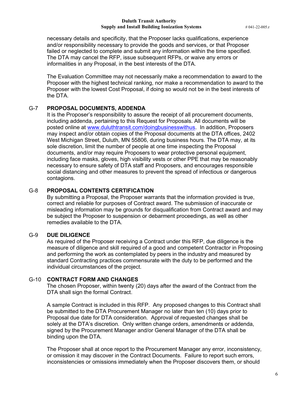necessary details and specificity, that the Proposer lacks qualifications, experience and/or responsibility necessary to provide the goods and services, or that Proposer failed or neglected to complete and submit any information within the time specified. The DTA may cancel the RFP, issue subsequent RFPs, or waive any errors or informalities in any Proposal, in the best interests of the DTA.

The Evaluation Committee may not necessarily make a recommendation to award to the Proposer with the highest technical ranking, nor make a recommendation to award to the Proposer with the lowest Cost Proposal, if doing so would not be in the best interests of the DTA.

#### G-7 PROPOSAL DOCUMENTS, ADDENDA

 It is the Proposer's responsibility to assure the receipt of all procurement documents, including addenda, pertaining to this Request for Proposals. All documents will be posted online at www.duluthtransit.com/doingbusinesswithus. In addition, Proposers may inspect and/or obtain copies of the Proposal documents at the DTA offices, 2402 West Michigan Street, Duluth, MN 55806, during business hours. The DTA may, at its sole discretion, limit the number of people at one time inspecting the Proposal documents, and/or may require Proposers to wear protective personal equipment, including face masks, gloves, high visibility vests or other PPE that may be reasonably necessary to ensure safety of DTA staff and Proposers, and encourages responsible social distancing and other measures to prevent the spread of infectious or dangerous contagions.

### G-8 PROPOSAL CONTENTS CERTIFICATION

By submitting a Proposal, the Proposer warrants that the information provided is true, correct and reliable for purposes of Contract award. The submission of inaccurate or misleading information may be grounds for disqualification from Contract award and may be subject the Proposer to suspension or debarment proceedings, as well as other remedies available to the DTA.

### G-9 DUE DILIGENCE

As required of the Proposer receiving a Contract under this RFP, due diligence is the measure of diligence and skill required of a good and competent Contractor in Proposing and performing the work as contemplated by peers in the industry and measured by standard Contracting practices commensurate with the duty to be performed and the individual circumstances of the project.

### G-10 CONTRACT FORM AND CHANGES

The chosen Proposer, within twenty (20) days after the award of the Contract from the DTA shall sign the formal Contract.

A sample Contract is included in this RFP. Any proposed changes to this Contract shall be submitted to the DTA Procurement Manager no later than ten (10) days prior to Proposal due date for DTA consideration. Approval of requested changes shall be solely at the DTA's discretion. Only written change orders, amendments or addenda, signed by the Procurement Manager and/or General Manager of the DTA shall be binding upon the DTA.

The Proposer shall at once report to the Procurement Manager any error, inconsistency, or omission it may discover in the Contract Documents. Failure to report such errors, inconsistencies or omissions immediately when the Proposer discovers them, or should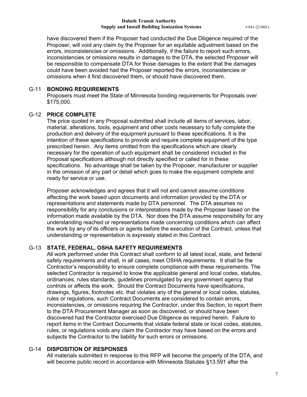have discovered them if the Proposer had conducted the Due Diligence required of the Proposer, will void any claim by the Proposer for an equitable adjustment based on the errors, inconsistencies or omissions. Additionally, if the failure to report such errors, inconsistencies or omissions results in damages to the DTA, the selected Proposer will be responsible to compensate DTA for those damages to the extent that the damages could have been avoided had the Proposer reported the errors, inconsistencies or omissions when it first discovered them, or should have discovered them.

### G-11 BONDING REQUIREMENTS

Proposers must meet the State of Minnesota bonding requirements for Proposals over \$175,000.

### G-12 PRICE COMPLETE

The price quoted in any Proposal submitted shall include all items of services, labor, material, alterations, tools, equipment and other costs necessary to fully complete the production and delivery of the equipment pursuant to these specifications. It is the intention of these specifications to provide and require complete equipment of the type prescribed herein. Any items omitted from the specifications which are clearly necessary for the operation of such equipment shall be considered included in the Proposal specifications although not directly specified or called for in these specifications. No advantage shall be taken by the Proposer, manufacturer or supplier in the omission of any part or detail which goes to make the equipment complete and ready for service or use.

Proposer acknowledges and agrees that it will not and cannot assume conditions affecting the work based upon documents and information provided by the DTA or representations and statements made by DTA personnel. The DTA assumes no responsibility for any conclusions or interpretations made by the Proposer based on the information made available by the DTA. Nor does the DTA assume responsibility for any understanding reached or representations made concerning conditions which can affect the work by any of its officers or agents before the execution of the Contract, unless that understanding or representation is expressly stated in this Contract.

#### G-13 STATE, FEDERAL, OSHA SAFETY REQUIREMENTS

All work performed under this Contract shall conform to all latest local, state, and federal safety requirements and shall, in all cases, meet OSHA requirements. It shall be the Contractor's responsibility to ensure complete compliance with these requirements. The selected Contractor is required to know the applicable general and local codes, statutes, ordinances, rules standards, guidelines promulgated by any government agency that controls or affects the work. Should the Contract Documents have specifications, drawings, figures, footnotes etc. that violates any of the general or local codes, statutes, rules or regulations, such Contract Documents are considered to contain errors, inconsistencies, or omissions requiring the Contractor, under this Section, to report them to the DTA Procurement Manager as soon as discovered, or should have been discovered had the Contractor exercised Due Diligence as required herein. Failure to report items in the Contract Documents that violate federal state or local codes, statutes, rules, or regulations voids any claim the Contractor may have based on the errors and subjects the Contractor to the liability for such errors or omissions.

#### G-14 DISPOSITION OF RESPONSES

All materials submitted in response to this RFP will become the property of the DTA, and will become public record in accordance with Minnesota Statutes §13.591 after the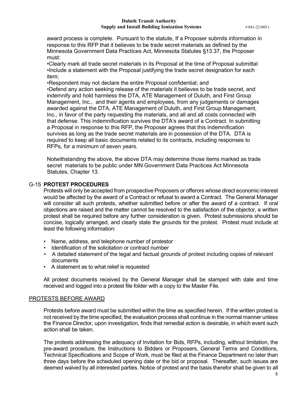award process is complete. Pursuant to the statute, If a Proposer submits information in response to this RFP that it believes to be trade secret materials as defined by the Minnesota Government Data Practices Act, Minnesota Statutes §13.37, the Proposer must:

 •Clearly mark all trade secret materials in its Proposal at the time of Proposal submittal •Include a statement with the Proposal justifying the trade secret designation for each item;

 •Respondent may not declare the entire Proposal confidential; and •Defend any action seeking release of the materials it believes to be trade secret, and indemnify and hold harmless the DTA, ATE Management of Duluth, and First Group Management, Inc., and their agents and employees, from any judgements or damages awarded against the DTA, ATE Management of Duluth, and First Group Management, Inc., in favor of the party requesting the materials, and all and all costs connected with that defense. This indemnification survives the DTA's award of a Contract. In submitting a Proposal in response to this RFP, the Proposer agrees that this indemnification survives as long as the trade secret materials are in possession of the DTA. DTA is required to keep all basic documents related to its contracts, including responses to RFPs, for a minimum of seven years.

Notwithstanding the above, the above DTA may determine those items marked as trade secret materials to be public under MN Government Data Practices Act Minnesota Statutes, Chapter 13.

#### G-15 PROTEST PROCEDURES

Protests will only be accepted from prospective Proposers or offerors whose direct economic interest would be affected by the award of a Contract or refusal to award a Contract. The General Manager will consider all such protests, whether submitted before or after the award of a contract. If oral objections are raised and the matter cannot be resolved to the satisfaction of the objector, a written protest shall be required before any further consideration is given. Protest submissions should be concise, logically arranged, and clearly state the grounds for the protest. Protest must include at least the following information:

- Name, address, and telephone number of protestor
- Identification of the solicitation or contract number
- A detailed statement of the legal and factual grounds of protest including copies of relevant documents
- A statement as to what relief is requested

All protest documents received by the General Manager shall be stamped with date and time received and logged into a protest file folder with a copy to the Master File.

#### PROTESTS BEFORE AWARD

Protests before award must be submitted within the time as specified herein. If the written protest is not received by the time specified, the evaluation process shall continue in the normal manner unless the Finance Director, upon investigation, finds that remedial action is desirable, in which event such action shall be taken.

The protests addressing the adequacy of Invitation for Bids, RFPs, including, without limitation, the pre-award procedure, the Instructions to Bidders or Proposers, General Terms and Conditions, Technical Specifications and Scope of Work, must be filed at the Finance Department no later than three days before the scheduled opening date or the bid or proposal. Thereafter, such issues are deemed waived by all interested parties. Notice of protest and the basis therefor shall be given to all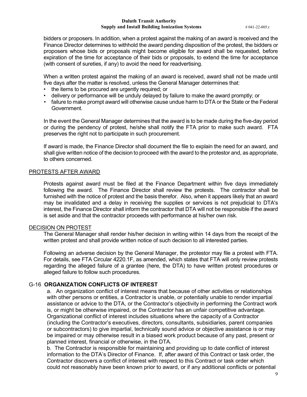bidders or proposers. In addition, when a protest against the making of an award is received and the Finance Director determines to withhold the award pending disposition of the protest, the bidders or proposers whose bids or proposals might become eligible for award shall be requested, before expiration of the time for acceptance of their bids or proposals, to extend the time for acceptance (with consent of sureties, if any) to avoid the need for readvertising.

When a written protest against the making of an award is received, award shall not be made until five days after the matter is resolved, unless the General Manager determines that:

- the items to be procured are urgently required; or
- delivery or performance will be unduly delayed by failure to make the award promptly; or
- failure to make prompt award will otherwise cause undue harm to DTA or the State or the Federal Government.

 In the event the General Manager determines that the award is to be made during the five-day period or during the pendency of protest, he/she shall notify the FTA prior to make such award. FTA preserves the right not to participate in such procurement.

If award is made, the Finance Director shall document the file to explain the need for an award, and shall give written notice of the decision to proceed with the award to the protestor and, as appropriate, to others concerned.

### PROTESTS AFTER AWARD

Protests against award must be filed at the Finance Department within five days immediately following the award. The Finance Director shall review the protests. The contractor shall be furnished with the notice of protest and the basis therefor. Also, when it appears likely that an award may be invalidated and a delay in receiving the supplies or services is not prejudicial to DTA's interest, the Finance Director shall inform the contractor that DTA will not be responsible if the award is set aside and that the contractor proceeds with performance at his/her own risk.

#### DECISION ON PROTEST

The General Manager shall render his/her decision in writing within 14 days from the receipt of the written protest and shall provide written notice of such decision to all interested parties.

Following an adverse decision by the General Manager, the protestor may file a protest with FTA. For details, see FTA Circular 4220.1F, as amended, which states that FTA will only review protests regarding the alleged failure of a grantee (here, the DTA) to have written protest procedures or alleged failure to follow such procedures.

### G-16 ORGANIZATION CONFLICTS OF INTEREST

a. An organization conflict of interest means that because of other activities or relationships with other persons or entities, a Contractor is unable, or potentially unable to render impartial assistance or advice to the DTA, or the Contractor's objectivity in performing the Contract work is, or might be otherwise impaired, or the Contractor has an unfair competitive advantage. Organizational conflict of interest includes situations where the capacity of a Contractor (including the Contractor's executives, directors, consultants, subsidiaries, parent companies or subcontractors) to give impartial, technically sound advice or objective assistance is or may be impaired or may otherwise result in a biased work product because of any past, present or planned interest, financial or otherwise, in the DTA.

b. The Contractor is responsible for maintaining and providing up to date conflict of interest information to the DTA's Director of Finance. If, after award of this Contract or task order, the Contractor discovers a conflict of interest with respect to this Contract or task order which could not reasonably have been known prior to award, or if any additional conflicts or potential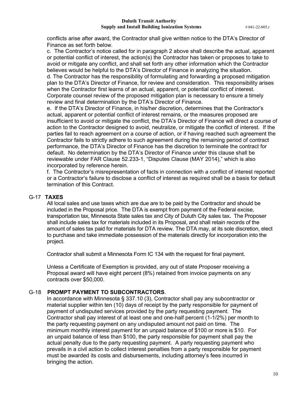conflicts arise after award, the Contractor shall give written notice to the DTA's Director of Finance as set forth below.

c. The Contractor's notice called for in paragraph 2 above shall describe the actual, apparent or potential conflict of interest, the action(s) the Contractor has taken or proposes to take to avoid or mitigate any conflict, and shall set forth any other information which the Contractor believes would be helpful to the DTA's Director of Finance in analyzing the situation. d. The Contractor has the responsibility of formulating and forwarding a proposed mitigation plan to the DTA's Director of Finance, for review and consideration. This responsibility arises when the Contractor first learns of an actual, apparent, or potential conflict of interest. Corporate counsel review of the proposed mitigation plan is necessary to ensure a timely review and final determination by the DTA's Director of Finance.

e. If the DTA's Director of Finance, in his/her discretion, determines that the Contractor's actual, apparent or potential conflict of interest remains, or the measures proposed are insufficient to avoid or mitigate the conflict, the DTA's Director of Finance will direct a course of action to the Contractor designed to avoid, neutralize, or mitigate the conflict of interest. If the parties fail to reach agreement on a course of action, or if having reached such agreement the Contractor fails to strictly adhere to such agreement during the remaining period of contract performance, the DTA's Director of Finance has the discretion to terminate the contract for default. No determination by the DTA's Director of Finance under this clause shall be reviewable under FAR Clause 52.233-1, "Disputes Clause (MAY 2014)," which is also incorporated by reference herein.

f. The Contractor's misrepresentation of facts in connection with a conflict of interest reported or a Contractor's failure to disclose a conflict of interest as required shall be a basis for default termination of this Contract.

### G-17 TAXES

All local sales and use taxes which are due are to be paid by the Contractor and should be included in the Proposal price. The DTA is exempt from payment of the Federal excise, transportation tax, Minnesota State sales tax and City of Duluth City sales tax. The Proposer shall include sales tax for materials included in its Proposal, and shall retain records of the amount of sales tax paid for materials for DTA review. The DTA may, at its sole discretion, elect to purchase and take immediate possession of the materials directly for incorporation into the project.

Contractor shall submit a Minnesota Form IC 134 with the request for final payment.

 Unless a Certificate of Exemption is provided, any out of state Proposer receiving a Proposal award will have eight percent (8%) retained from invoice payments on any contracts over \$50,000.

#### G-18 PROMPT PAYMENT TO SUBCONTRACTORS.

In accordance with Minnesota § 337.10 (3), Contractor shall pay any subcontractor or material supplier within ten (10) days of receipt by the party responsible for payment of payment of undisputed services provided by the party requesting payment. The Contractor shall pay interest of at least one and one-half percent (1-1/2%) per month to the party requesting payment on any undisputed amount not paid on time. The minimum monthly interest payment for an unpaid balance of \$100 or more is \$10. For an unpaid balance of less than \$100, the party responsible for payment shall pay the actual penalty due to the party requesting payment. A party requesting payment who prevails in a civil action to collect interest penalties from a party responsible for payment must be awarded its costs and disbursements, including attorney's fees incurred in bringing the action.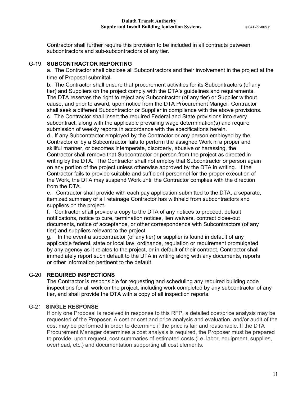Contractor shall further require this provision to be included in all contracts between subcontractors and sub-subcontractors of any tier.

### G-19 SUBCONTRACTOR REPORTING

a. The Contractor shall disclose all Subcontractors and their involvement in the project at the time of Proposal submittal.

b. The Contractor shall ensure that procurement activities for its Subcontractors (of any tier) and Suppliers on the project comply with the DTA's guidelines and requirements. The DTA reserves the right to reject any Subcontractor (of any tier) or Supplier without cause, and prior to award, upon notice from the DTA Procurement Manger, Contractor shall seek a different Subcontractor or Supplier in compliance with the above provisions.

c. The Contractor shall insert the required Federal and State provisions into every subcontract, along with the applicable prevailing wage determination(s) and require submission of weekly reports in accordance with the specifications herein.

d. If any Subcontractor employed by the Contractor or any person employed by the Contractor or by a Subcontractor fails to perform the assigned Work in a proper and skillful manner, or becomes intemperate, disorderly, abusive or harassing, the Contractor shall remove that Subcontractor or person from the project as directed in writing by the DTA. The Contractor shall not employ that Subcontractor or person again on any portion of the project unless otherwise approved by the DTA in writing. If the Contractor fails to provide suitable and sufficient personnel for the proper execution of the Work, the DTA may suspend Work until the Contractor complies with the direction from the DTA.

e. Contractor shall provide with each pay application submitted to the DTA, a separate, itemized summary of all retainage Contractor has withheld from subcontractors and suppliers on the project.

f. Contractor shall provide a copy to the DTA of any notices to proceed, default notifications, notice to cure, termination notices, lien waivers, contract close-out documents, notice of acceptance, or other correspondence with Subcontractors (of any tier) and suppliers relevant to the project.

g. In the event a subcontractor (of any tier) or supplier is found in default of any applicable federal, state or local law, ordinance, regulation or requirement promulgated by any agency as it relates to the project, or in default of their contract, Contractor shall immediately report such default to the DTA in writing along with any documents, reports or other information pertinent to the default.

### G-20 REQUIRED INSPECTIONS

The Contractor is responsible for requesting and scheduling any required building code inspections for all work on the project, including work completed by any subcontractor of any tier, and shall provide the DTA with a copy of all inspection reports.

### G-21 SINGLE RESPONSE

If only one Proposal is received in response to this RFP, a detailed cost/price analysis may be requested of the Proposer. A cost or cost and price analysis and evaluation, and/or audit of the cost may be performed in order to determine if the price is fair and reasonable. If the DTA Procurement Manager determines a cost analysis is required, the Proposer must be prepared to provide, upon request, cost summaries of estimated costs (i.e. labor, equipment, supplies, overhead, etc.) and documentation supporting all cost elements.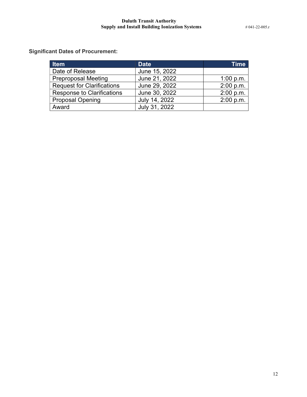Significant Dates of Procurement:

| <b>Item</b>                       | <b>Date</b>   | Time      |
|-----------------------------------|---------------|-----------|
| Date of Release                   | June 15, 2022 |           |
| <b>Preproposal Meeting</b>        | June 21, 2022 | 1:00 p.m. |
| <b>Request for Clarifications</b> | June 29, 2022 | 2:00 p.m. |
| <b>Response to Clarifications</b> | June 30, 2022 | 2:00 p.m. |
| <b>Proposal Opening</b>           | July 14, 2022 | 2:00 p.m. |
| Award                             | July 31, 2022 |           |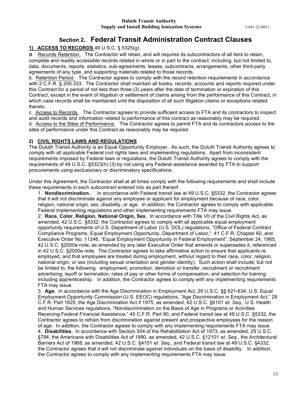# Section 2. Federal Transit Administration Contract Clauses

### 1) ACCESS TO RECORDS 49 U.S.C. § 5325(g).

a. Records Retention. The Contractor will retain, and will requires its subcontractors of all tiers to retain, complete and readily accessible records related in whole or in part to the contract; including, but not limited to, data, documents, reports, statistics, sub-agreements, leases, subcontracts, arrangements, other third-party agreements of any type, and supporting materials related to those records.

b. Retention Period. The Contractor agrees to comply with the record retention requirements in accordance with 2 C.F.R. § 200.333. The Contractor shall maintain all books, records, accounts and reports required under this Contract for a period of not less than three (3) years after the date of termination or expiration of this Contract, except in the event of litigation or settlement of claims arising from the performance of this Contract, in which case records shall be maintained until the disposition of all such litigation claims or exceptions related thereto.

c. Access to Records. The Contractor agrees to provide sufficient access to FTA and its contractors to inspect and audit records and information related to performance of this contract as reasonably may be required. d. Access to the Sites of Performance. The Contractor agrees to permit FTA and its contractors access to the sites of performance under this Contract as reasonably may be required.

### 2) CIVIL RIGHTS LAWS AND REGULATIONS

The Duluth Transit Authority is an Equal Opportunity Employer. As such, the Duluth Transit Authority agrees to comply with all applicable Federal civil rights laws and implementing regulations. Apart from inconsistent requirements imposed by Federal laws or regulations, the Duluth Transit Authority agrees to comply with the requirements of 49 U.S.C. §5323(h) (3) by not using any Federal assistance awarded by FTA to support procurements using exclusionary or discriminatory specifications.

Under this Agreement, the Contractor shall at all times comply with the following requirements and shall include these requirements in each subcontract entered into as part thereof.

1. Nondiscrimination. In accordance with Federal transit law at 49 U.S.C. §5332, the Contractor agrees that it will not discriminate against any employee or applicant for employment because of race, color, religion, national origin, sex, disability, or age. In addition, the Contractor agrees to comply with applicable Federal implementing regulations and other implementing requirements FTA may issue.

2. Race, Color, Religion, National Origin, Sex. In accordance with Title VII of the Civil Rights Act, as amended, 42 U.S.C. §5332, the Contractor agrees to comply with all applicable equal employment opportunity requirements of U.S. Department of Labor (U.S. DOL) regulations, "Office of Federal Contract Compliance Programs, Equal Employment Opportunity, Department of Labor," 41 C.F.R. Chapter 60, and Executive Order No. 11246, "Equal Employment Opportunity in Federal Employment", September 24, 1965, 42 U.S.C. §2000e note, as amended by any later Executive Order that amends or supersedes it, referenced in 42 U.S.C. §2000e note. The Contractor agrees to take affirmative action to ensure that applicants re employed, and that employees are treated during employment, without regard to their race, color, religion, national origin, or sex (including sexual orientation and gender identity). Such action shall include, but not be limited to, the following: employment, promotion, demotion or transfer, recruitment or recruitment advertising, layoff or termination, rates of pay or other forms of compensation; and selection for training, including apprenticeship. In addition, the Contractor agrees to comply with any implementing requirements FTA may issue.

3. Age. In accordance with the Age Discrimination in Employment Act, 29 U.S.C. §§ 621-634, U.S. Equal Employment Opportunity Commission (U.S. EEOC) regulations, "Age Discrimination in Employment Act," 29 C.F.R. Part 1625, the Age Discrimination Act if 1975, as amended, 42 U.S.C. §6101 et. Seq., U.S. Health and Human Services regulations, "Nondiscrimination on the Basis of Age in Programs or Activities Receiving Federal Financial Assistance," 45 C.F.R. Part 90, and Federal transit law at 49 U.S.C. §5332, the Contractor agrees to refrain from discrimination against present and prospective employees for the reason of age. In addition, the Contractor agrees to comply with any implementing requirements FTA may issue. 4. Disabilities. In accordance with Section 504 of the Rehabilitation Act of 1973, as amended, 29 U.S.C. §794, the Americans with Disabilities Act of 1990, as amended, 42 U.S.C. §12101 et. Seq., the Architectural Barriers Act of 1968, as amended, 42 U.S.C. §4151 et. Seq., and Federal transit law at 49 U.S.C. §4332, the Contractor agrees that it will not discriminate against individuals on the basis of disability. In addition, the Contractor agrees to comply with any implementing requirements FTA may issue.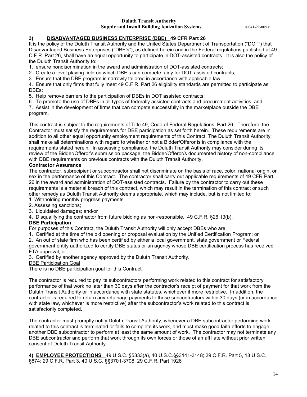#### 3) DISADVANTAGED BUSINESS ENTERPRISE (DBE) 49 CFR Part 26

It is the policy of the Duluth Transit Authority and the United States Department of Transportation ("DOT") that Disadvantaged Business Enterprises ("DBE's"), as defined herein and in the Federal regulations published at 49 C.F.R. Part 26, shall have an equal opportunity to participate in DOT-assisted contracts. It is also the policy of the Duluth Transit Authority to:

- 1. ensure nondiscrimination in the award and administration of DOT-assisted contracts;
- 2. Create a level playing field on which DBE's can compete fairly for DOT-assisted contracts;
- 3. Ensure that the DBE program is narrowly tailored in accordance with applicable law;

4. Ensure that only firms that fully meet 49 C.F.R. Part 26 eligibility standards are permitted to participate as DBEs;

- 5. Help remove barriers to the participation of DBEs in DOT assisted contracts;
- 6. To promote the use of DBEs in all types of federally assisted contracts and procurement activities; and
- 7. Assist in the development of firms that can compete successfully in the marketplace outside the DBE program.

This contract is subject to the requirements of Title 49, Code of Federal Regulations, Part 26. Therefore, the Contractor must satisfy the requirements for DBE participation as set forth herein. These requirements are in addition to all other equal opportunity employment requirements of this Contract. The Duluth Transit Authority shall make all determinations with regard to whether or not a Bidder/Offeror is in compliance with the requirements stated herein. In assessing compliance, the Duluth Transit Authority may consider during its review of the Bidder/Offeror's submission package, the Bidder/Offeror/s documented history of non-compliance with DBE requirements on previous contracts with the Duluth Transit Authority.

#### Contractor Assurance

The contractor, subrecipient or subcontractor shall not discriminate on the basis of race, color, national origin, or sex in the performance of this Contract. The contractor shall carry out applicable requirements of 49 CFR Part 26 in the award and administration of DOT-assisted contracts. Failure by the contractor to carry out these requirements is a material breach of this contract, which may result in the termination of this contract or such other remedy as Duluth Transit Authority deems appropriate, which may include, but is not limited to:

- 1. Withholding monthly progress payments
- 2. Assessing sanctions;
- 3. Liquidated damages; and/or
- 4. Disqualifying the contractor from future bidding as non-responsible. 49 C.F.R. §26.13(b).

#### DBE Participation

- For purposes of this Contract, the Duluth Transit Authority will only accept DBEs who are:
- 1. Certified at the time of the bid opening or proposal evaluation by the Unified Certification Program; or
- 2. An out of state firm who has been certified by either a local government, state government or Federal government entity authorized to certify DBE status or an agency whose DBE certification process has received FTA approval; or
- 3. Certified by another agency approved by the Duluth Transit Authority.

DBE Participation Goal

There is no DBE participation goal for this Contract.

The contractor is required to pay its subcontractors performing work related to this contract for satisfactory performance of that work no later than 30 days after the contractor's receipt of payment for that work from the Duluth Transit Authority or in accordance with state statutes, whichever if more restrictive. In addition, the contractor is required to return any retainage payments to those subcontractors within 30 days (or in accordance with state law, whichever is more restrictive) after the subcontractor's work related to this contract is satisfactorily completed.

The contractor must promptly notify Duluth Transit Authority, whenever a DBE subcontractor performing work related to this contract is terminated or fails to complete its work, and must make good faith efforts to engage another DBE subcontractor to perform at least the same amount of work. The contractor may not terminate any DBE subcontractor and perform that work through its own forces or those of an affiliate without prior written consent of Duluth Transit Authority.

4) EMPLOYEE PROTECTIONS 49 U.S.C. §5333(a), 40 U.S.C. §§3141-3148; 29 C.F.R. Part 5, 18 U.S.C. §874; 29 C.F.R. Part 3, 40 U.S.C. §§3701-3708, 29 C.F.R. Part 1926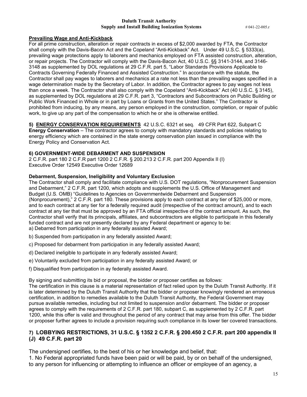#### Prevailing Wage and Anti-Kickback

For all prime construction, alteration or repair contracts in excess of \$2,000 awarded by FTA, the Contractor shall comply with the Davis-Bacon Act and the Copeland "Anti-Kickback" Act. Under 49 U.S.C. § 5333(a), prevailing wage protections apply to laborers and mechanics employed on FTA assisted construction, alteration, or repair projects. The Contractor will comply with the Davis-Bacon Act, 40 U.S.C. §§ 3141-3144, and 3146- 3148 as supplemented by DOL regulations at 29 C.F.R. part 5, "Labor Standards Provisions Applicable to Contracts Governing Federally Financed and Assisted Construction." In accordance with the statute, the Contractor shall pay wages to laborers and mechanics at a rate not less than the prevailing wages specified in a wage determination made by the Secretary of Labor. In addition, the Contractor agrees to pay wages not less than once a week. The Contractor shall also comply with the Copeland "Anti-Kickback" Act (40 U.S.C. § 3145), as supplemented by DOL regulations at 29 C.F.R. part 3, "Contractors and Subcontractors on Public Building or Public Work Financed in Whole or in part by Loans or Grants from the United States." The Contractor is prohibited from inducing, by any means, any person employed in the construction, completion, or repair of public work, to give up any part of the compensation to which he or she is otherwise entitled.

5) ENERGY CONSERVATION REQUIREMENTS 42 U.S.C. 6321 et seq. 49 CFR Part 622, Subpart C Energy Conservation – The contractor agrees to comply with mandatory standards and policies relating to energy efficiency which are contained in the state energy conservation plan issued in compliance with the Energy Policy and Conservation Act.

#### 6) GOVERNMENT-WIDE DEBARMENT AND SUSPENSION

2 C.F.R. part 180 2 C.F.R part 1200 2 C.F.R. § 200.213 2 C.F.R. part 200 Appendix II (I) Executive Order 12549 Executive Order 12689

#### Debarment, Suspension, Ineligibility and Voluntary Exclusion

The Contractor shall comply and facilitate compliance with U.S. DOT regulations, "Nonprocurement Suspension and Debarment," 2 C.F.R. part 1200, which adopts and supplements the U.S. Office of Management and Budget (U.S. OMB) "Guidelines to Agencies on Governmentwide Debarment and Suspension (Nonprocurement)," 2 C.F.R. part 180. These provisions apply to each contract at any tier of \$25,000 or more, and to each contract at any tier for a federally required audit (irrespective of the contract amount), and to each contract at any tier that must be approved by an FTA official irrespective of the contract amount. As such, the Contractor shall verify that its principals, affiliates, and subcontractors are eligible to participate in this federally funded contract and are not presently declared by any Federal department or agency to be: a) Debarred from participation in any federally assisted Award;

- b) Suspended from participation in any federally assisted Award;
- c) Proposed for debarment from participation in any federally assisted Award;
- d) Declared ineligible to participate in any federally assisted Award;
- e) Voluntarily excluded from participation in any federally assisted Award; or
- f) Disqualified from participation in ay federally assisted Award.

By signing and submitting its bid or proposal, the bidder or proposer certifies as follows:

The certification in this clause is a material representation of fact relied upon by the Duluth Transit Authority. If it is later determined by the Duluth Transit Authority that the bidder or proposer knowingly rendered an erroneous certification, in addition to remedies available to the Duluth Transit Authority, the Federal Government may pursue available remedies, including but not limited to suspension and/or debarment. The bidder or proposer agrees to comply with the requirements of 2 C.F.R. part 180, subpart C, as supplemented by 2 C.F.R. part 1200, while this offer is valid and throughout the period of any contract that may arise from this offer. The bidder or proposer further agrees to include a provision requiring such compliance in its lower tier covered transactions.

### 7) LOBBYING RESTRICTIONS, 31 U.S.C. § 1352 2 C.F.R. § 200.450 2 C.F.R. part 200 appendix II (J) 49 C.F.R. part 20

The undersigned certifies, to the best of his or her knowledge and belief, that:

1. No Federal appropriated funds have been paid or will be paid, by or on behalf of the undersigned, to any person for influencing or attempting to influence an officer or employee of an agency, a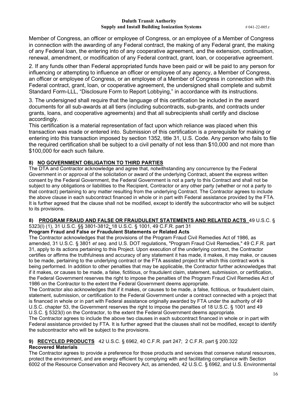Member of Congress, an officer or employee of Congress, or an employee of a Member of Congress in connection with the awarding of any Federal contract, the making of any Federal grant, the making of any Federal loan, the entering into of any cooperative agreement, and the extension, continuation, renewal, amendment, or modification of any Federal contract, grant, loan, or cooperative agreement.

2. If any funds other than Federal appropriated funds have been paid or will be paid to any person for influencing or attempting to influence an officer or employee of any agency, a Member of Congress, an officer or employee of Congress, or an employee of a Member of Congress in connection with this Federal contract, grant, loan, or cooperative agreement, the undersigned shall complete and submit Standard Form-LLL, "Disclosure Form to Report Lobbying," in accordance with its instructions.

3. The undersigned shall require that the language of this certification be included in the award documents for all sub-awards at all tiers (including subcontracts, sub-grants, and contracts under grants, loans, and cooperative agreements) and that all subrecipients shall certify and disclose accordingly.

This certification is a material representation of fact upon which reliance was placed when this transaction was made or entered into. Submission of this certification is a prerequisite for making or entering into this transaction imposed by section 1352, title 31, U.S. Code. Any person who fails to file the required certification shall be subject to a civil penalty of not less than \$10,000 and not more than \$100,000 for each such failure.

### 8) NO GOVERNMENT OBLIGATION TO THIRD PARTIES

The DTA and Contractor acknowledge and agree that, notwithstanding any concurrence by the Federal Government in or approval of the solicitation or award of the underlying Contract, absent the express written consent by the Federal Government, the Federal Government is not a party to this Contract and shall not be subject to any obligations or liabilities to the Recipient, Contractor or any other party (whether or not a party to that contract) pertaining to any matter resulting from the underlying Contract. The Contractor agrees to include the above clause in each subcontract financed in whole or in part with Federal assistance provided by the FTA. It is further agreed that the clause shall not be modified, except to identify the subcontractor who will be subject to its provisions.

### 8) PROGRAM FRAUD AND FALSE OR FRAUDULENT STATEMENTS AND RELATED ACTS 49 U.S.C. §

5323(l) (1), 31 U.S.C. §§ 3801-3812; 18 U.S.C. § 1001, 49 C.F.R. part 31

### Program Fraud and False or Fraudulent Statements or Related Acts

The Contractor acknowledges that the provisions of the Program Fraud Civil Remedies Act of 1986, as amended, 31 U.S.C. § 3801 et seq. and U.S. DOT regulations, "Program Fraud Civil Remedies," 49 C.F.R. part 31, apply to its actions pertaining to this Project. Upon execution of the underlying contract, the Contractor certifies or affirms the truthfulness and accuracy of any statement it has made, it makes, it may make, or causes to be made, pertaining to the underlying contract or the FTA assisted project for which this contract work is being performed. In addition to other penalties that may be applicable, the Contractor further acknowledges that if it makes, or causes to be made, a false, fictitious, or fraudulent claim, statement, submission, or certification, the Federal Government reserves the right to impose the penalties of the Program Fraud Civil Remedies Act of 1986 on the Contractor to the extent the Federal Government deems appropriate.

The Contractor also acknowledges that if it makes, or causes to be made, a false, fictitious, or fraudulent claim, statement, submission, or certification to the Federal Government under a contract connected with a project that is financed in whole or in part with Federal assistance originally awarded by FTA under the authority of 49 U.S.C. chapter 53, the Government reserves the right to impose the penalties of 18 U.S.C. § 1001 and 49 U.S.C. § 5323(l) on the Contractor, to the extent the Federal Government deems appropriate.

The Contractor agrees to include the above two clauses in each subcontract financed in whole or in part with Federal assistance provided by FTA. It is further agreed that the clauses shall not be modified, except to identify the subcontractor who will be subject to the provisions.

## 9) RECYCLED PRODUCTS 42 U.S.C. § 6962, 40 C.F.R. part 247; 2 C.F.R. part § 200.322

### Recovered Materials

The Contractor agrees to provide a preference for those products and services that conserve natural resources, protect the environment, and are energy efficient by complying with and facilitating compliance with Section 6002 of the Resource Conservation and Recovery Act, as amended, 42 U.S.C. § 6962, and U.S. Environmental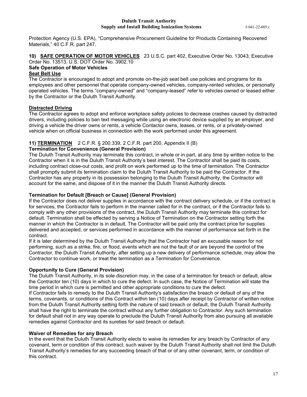Protection Agency (U.S. EPA), "Comprehensive Procurement Guideline for Products Containing Recovered Materials," 40 C.F.R. part 247.

#### 10) SAFE OPERATION OF MOTOR VEHICLES 23 U.S.C. part 402, Executive Order No. 13043; Executive Order No. 13513, U.S. DOT Order No. 3902.10

### Safe Operation of Motor Vehicles

#### Seat Belt Use

The Contractor is encouraged to adopt and promote on-the-job seat belt use policies and programs for its employees and other personnel that operate company-owned vehicles, company-rented vehicles, or personally operated vehicles. The terms "company-owned" and "company-leased" refer to vehicles owned or leased either by the Contractor or the Duluth Transit Authority.

#### Distracted Driving

The Contractor agrees to adopt and enforce workplace safety policies to decrease crashes caused by distracted drivers, including policies to ban text messaging while using an electronic device supplied by an employer, and driving a vehicle the driver owns or rents, a vehicle Contactor owns, leases, or rents, or a privately-owned vehicle when on official business in connection with the work performed under this agreement.

### 11) TERMINATION 2 C.F.R. § 200.339, 2 C.F.R. part 200, Appendix II (B)

#### Termination for Convenience (General Provision)

The Duluth Transit Authority may terminate this contract, in whole or in part, at any time by written notice to the Contractor when it is in the Duluth Transit Authority's best interest. The Contractor shall be paid its costs, including contract close-out costs, and profit on work performed up to the time of termination. The Contractor shall promptly submit its termination claim to the Duluth Transit Authority to be paid the Contractor. If the Contractor has any property in its possession belonging to the Duluth Transit Authority, the Contractor will account for the same, and dispose of it in the manner the Duluth Transit Authority directs.

#### Termination for Default [Breach or Cause] (General Provision)

If the Contractor does not deliver supplies in accordance with the contract delivery schedule, or if the contract is for services, the Contractor fails to perform in the manner called for in the contract, or if the Contractor fails to comply with any other provisions of the contract, the Duluth Transit Authority may terminate this contract for default. Termination shall be effected by serving a Notice of Termination on the Contractor setting forth the manner in which the Contractor is in default. The Contractor will be paid only the contract price for supplies delivered and accepted, or services performed in accordance with the manner of performance set forth in the contract.

If it is later determined by the Duluth Transit Authority that the Contractor had an excusable reason for not performing, such as a strike, fire, or flood, events which are not the fault of or are beyond the control of the Contractor, the Duluth Transit Authority, after setting up a new delivery of performance schedule, may allow the Contractor to continue work, or treat the termination as a Termination for Convenience.

#### Opportunity to Cure (General Provision)

The Duluth Transit Authority, in its sole discretion may, in the case of a termination for breach or default, allow the Contractor ten (10) days in which to cure the defect. In such case, the Notice of Termination will state the time period in which cure is permitted and other appropriate conditions to cure the defect.

If Contractor fails to remedy to the Duluth Transit Authority's satisfaction the breach or default of any of the terms, covenants, or conditions of this Contract within ten (10) days after receipt by Contractor of written notice from the Duluth Transit Authority setting forth the nature of said breach or default, the Duluth Transit Authority shall have the right to terminate the contract without any further obligation to Contractor. Any such termination for default shall not in any way operate to preclude the Duluth Transit Authority from also pursuing all available remedies against Contractor and its sureties for said breach or default.

#### Waiver of Remedies for any Breach

In the event that the Duluth Transit Authority elects to waive its remedies for any breach by Contractor of any covenant, term or condition of this contract, such waiver by the Duluth Transit Authority shall not limit the Duluth Transit Authority's remedies for any succeeding breach of that or of any other covenant, term, or condition of this contract.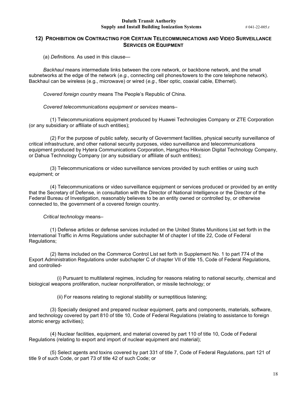#### 12) PROHIBITION ON CONTRACTING FOR CERTAIN TELECOMMUNICATIONS AND VIDEO SURVEILLANCE SERVICES OR EQUIPMENT

(a) Definitions. As used in this clause—

 Backhaul means intermediate links between the core network, or backbone network, and the small subnetworks at the edge of the network (e.g., connecting cell phones/towers to the core telephone network). Backhaul can be wireless (e.g., microwave) or wired (e.g., fiber optic, coaxial cable, Ethernet).

Covered foreign country means The People's Republic of China.

Covered telecommunications equipment or services means–

 (1) Telecommunications equipment produced by Huawei Technologies Company or ZTE Corporation (or any subsidiary or affiliate of such entities);

 (2) For the purpose of public safety, security of Government facilities, physical security surveillance of critical infrastructure, and other national security purposes, video surveillance and telecommunications equipment produced by Hytera Communications Corporation, Hangzhou Hikvision Digital Technology Company, or Dahua Technology Company (or any subsidiary or affiliate of such entities);

 (3) Telecommunications or video surveillance services provided by such entities or using such equipment; or

 (4) Telecommunications or video surveillance equipment or services produced or provided by an entity that the Secretary of Defense, in consultation with the Director of National Intelligence or the Director of the Federal Bureau of Investigation, reasonably believes to be an entity owned or controlled by, or otherwise connected to, the government of a covered foreign country.

Critical technology means–

 (1) Defense articles or defense services included on the United States Munitions List set forth in the International Traffic in Arms Regulations under subchapter M of chapter I of title 22, Code of Federal Regulations;

 (2) Items included on the Commerce Control List set forth in Supplement No. 1 to part 774 of the Export Administration Regulations under subchapter C of chapter VII of title 15, Code of Federal Regulations, and controlled-

 (i) Pursuant to multilateral regimes, including for reasons relating to national security, chemical and biological weapons proliferation, nuclear nonproliferation, or missile technology; or

(ii) For reasons relating to regional stability or surreptitious listening;

 (3) Specially designed and prepared nuclear equipment, parts and components, materials, software, and technology covered by part 810 of title 10, Code of Federal Regulations (relating to assistance to foreign atomic energy activities);

 (4) Nuclear facilities, equipment, and material covered by part 110 of title 10, Code of Federal Regulations (relating to export and import of nuclear equipment and material);

 (5) Select agents and toxins covered by part 331 of title 7, Code of Federal Regulations, part 121 of title 9 of such Code, or part 73 of title 42 of such Code; or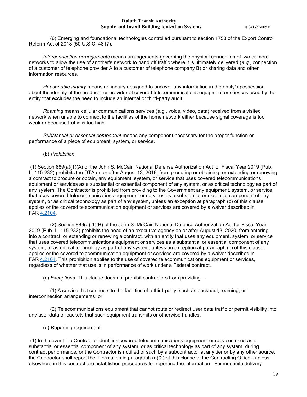(6) Emerging and foundational technologies controlled pursuant to section 1758 of the Export Control Reform Act of 2018 (50 U.S.C. 4817).

 Interconnection arrangements means arrangements governing the physical connection of two or more networks to allow the use of another's network to hand off traffic where it is ultimately delivered (e.g., connection of a customer of telephone provider A to a customer of telephone company B) or sharing data and other information resources.

 Reasonable inquiry means an inquiry designed to uncover any information in the entity's possession about the identity of the producer or provider of covered telecommunications equipment or services used by the entity that excludes the need to include an internal or third-party audit.

 Roaming means cellular communications services (e.g., voice, video, data) received from a visited network when unable to connect to the facilities of the home network either because signal coverage is too weak or because traffic is too high.

 Substantial or essential component means any component necessary for the proper function or performance of a piece of equipment, system, or service.

#### (b) Prohibition.

 (1) Section 889(a)(1)(A) of the John S. McCain National Defense Authorization Act for Fiscal Year 2019 (Pub. L. 115-232) prohibits the DTA on or after August 13, 2019, from procuring or obtaining, or extending or renewing a contract to procure or obtain, any equipment, system, or service that uses covered telecommunications equipment or services as a substantial or essential component of any system, or as critical technology as part of any system. The Contractor is prohibited from providing to the Government any equipment, system, or service that uses covered telecommunications equipment or services as a substantial or essential component of any system, or as critical technology as part of any system, unless an exception at paragraph (c) of this clause applies or the covered telecommunication equipment or services are covered by a waiver described in FAR 4.2104.

 (2) Section 889(a)(1)(B) of the John S. McCain National Defense Authorization Act for Fiscal Year 2019 (Pub. L. 115-232) prohibits the head of an executive agency on or after August 13, 2020, from entering into a contract, or extending or renewing a contract, with an entity that uses any equipment, system, or service that uses covered telecommunications equipment or services as a substantial or essential component of any system, or as critical technology as part of any system, unless an exception at paragraph (c) of this clause applies or the covered telecommunication equipment or services are covered by a waiver described in FAR 4.2104. This prohibition applies to the use of covered telecommunications equipment or services, regardless of whether that use is in performance of work under a Federal contract.

(c) Exceptions. This clause does not prohibit contractors from providing—

 (1) A service that connects to the facilities of a third-party, such as backhaul, roaming, or interconnection arrangements; or

 (2) Telecommunications equipment that cannot route or redirect user data traffic or permit visibility into any user data or packets that such equipment transmits or otherwise handles.

(d) Reporting requirement.

 (1) In the event the Contractor identifies covered telecommunications equipment or services used as a substantial or essential component of any system, or as critical technology as part of any system, during contract performance, or the Contractor is notified of such by a subcontractor at any tier or by any other source, the Contractor shall report the information in paragraph (d)(2) of this clause to the Contracting Officer, unless elsewhere in this contract are established procedures for reporting the information. For indefinite delivery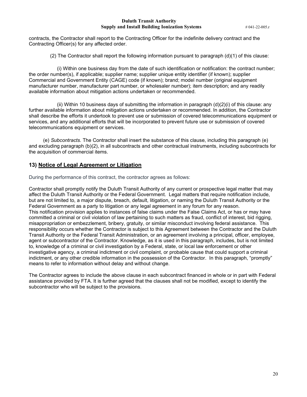contracts, the Contractor shall report to the Contracting Officer for the indefinite delivery contract and the Contracting Officer(s) for any affected order.

(2) The Contractor shall report the following information pursuant to paragraph (d)(1) of this clause:

 (i) Within one business day from the date of such identification or notification: the contract number; the order number(s), if applicable; supplier name; supplier unique entity identifier (if known); supplier Commercial and Government Entity (CAGE) code (if known); brand; model number (original equipment manufacturer number, manufacturer part number, or wholesaler number); item description; and any readily available information about mitigation actions undertaken or recommended.

(ii) Within 10 business days of submitting the information in paragraph  $(d)(2)(i)$  of this clause: any further available information about mitigation actions undertaken or recommended. In addition, the Contractor shall describe the efforts it undertook to prevent use or submission of covered telecommunications equipment or services, and any additional efforts that will be incorporated to prevent future use or submission of covered telecommunications equipment or services.

 (e) Subcontracts. The Contractor shall insert the substance of this clause, including this paragraph (e) and excluding paragraph (b)(2), in all subcontracts and other contractual instruments, including subcontracts for the acquisition of commercial items.

#### 13) Notice of Legal Agreement or Litigation

During the performance of this contract, the contractor agrees as follows:

Contractor shall promptly notify the Duluth Transit Authority of any current or prospective legal matter that may affect the Duluth Transit Authority or the Federal Government. Legal matters that require notification include, but are not limited to, a major dispute, breach, default, litigation, or naming the Duluth Transit Authority or the Federal Government as a party to litigation or any legal agreement in any forum for any reason. This notification provision applies to instances of false claims under the False Claims Act, or has or may have committed a criminal or civil violation of law pertaining to such matters as fraud, conflict of interest, bid rigging, misappropriation or embezzlement, bribery, gratuity, or similar misconduct involving federal assistance. This responsibility occurs whether the Contractor is subject to this Agreement between the Contractor and the Duluth Transit Authority or the Federal Transit Administration, or an agreement involving a principal, officer, employee, agent or subcontractor of the Contractor. Knowledge, as it is used in this paragraph, includes, but is not limited to, knowledge of a criminal or civil investigation by a Federal, state, or local law enforcement or other investigative agency, a criminal indictment or civil complaint, or probable cause that could support a criminal indictment, or any other credible information in the possession of the Contractor. In this paragraph, "promptly" means to refer to information without delay and without change.

The Contractor agrees to include the above clause in each subcontract financed in whole or in part with Federal assistance provided by FTA. It is further agreed that the clauses shall not be modified, except to identify the subcontractor who will be subject to the provisions.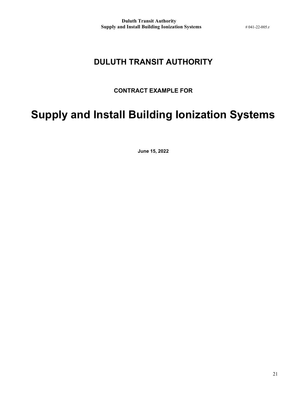# DULUTH TRANSIT AUTHORITY

## CONTRACT EXAMPLE FOR

# Supply and Install Building Ionization Systems

June 15, 2022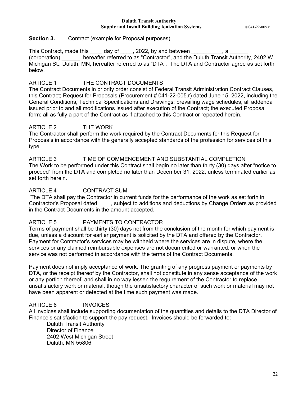### Section 3. Contract (example for Proposal purposes)

This Contract, made this day of , 2022, by and between (corporation) \_\_\_\_\_\_, hereafter referred to as "Contractor", and the Duluth Transit Authority, 2402 W. Michigan St., Duluth, MN, hereafter referred to as "DTA". The DTA and Contractor agree as set forth below.

### ARTICLE 1 THE CONTRACT DOCUMENTS

The Contract Documents in priority order consist of Federal Transit Administration Contract Clauses, this Contract; Request for Proposals (Procurement # 041-22-005.r) dated June 15, 2022, including the General Conditions, Technical Specifications and Drawings; prevailing wage schedules, all addenda issued prior to and all modifications issued after execution of the Contract; the executed Proposal form; all as fully a part of the Contract as if attached to this Contract or repeated herein.

### ARTICLE 2 THE WORK

The Contractor shall perform the work required by the Contract Documents for this Request for Proposals in accordance with the generally accepted standards of the profession for services of this type.

ARTICLE 3 TIME OF COMMENCEMENT AND SUBSTANTIAL COMPLETION The Work to be performed under this Contract shall begin no later than thirty (30) days after "notice to proceed" from the DTA and completed no later than December 31, 2022, unless terminated earlier as set forth herein.

### ARTICLE 4 CONTRACT SUM

 The DTA shall pay the Contractor in current funds for the performance of the work as set forth in Contractor's Proposal dated \_\_\_\_, subject to additions and deductions by Change Orders as provided in the Contract Documents in the amount accepted.

### ARTICLE 5 PAYMENTS TO CONTRACTOR

Terms of payment shall be thirty (30) days net from the conclusion of the month for which payment is due, unless a discount for earlier payment is solicited by the DTA and offered by the Contractor. Payment for Contractor's services may be withheld where the services are in dispute, where the services or any claimed reimbursable expenses are not documented or warranted, or when the service was not performed in accordance with the terms of the Contract Documents.

Payment does not imply acceptance of work. The granting of any progress payment or payments by DTA, or the receipt thereof by the Contractor, shall not constitute in any sense acceptance of the work or any portion thereof, and shall in no way lessen the requirement of the Contractor to replace unsatisfactory work or material, though the unsatisfactory character of such work or material may not have been apparent or detected at the time such payment was made.

### ARTICLE 6 INVOICES

All invoices shall include supporting documentation of the quantities and details to the DTA Director of Finance's satisfaction to support the pay request. Invoices should be forwarded to:

 Duluth Transit Authority Director of Finance 2402 West Michigan Street Duluth, MN 55806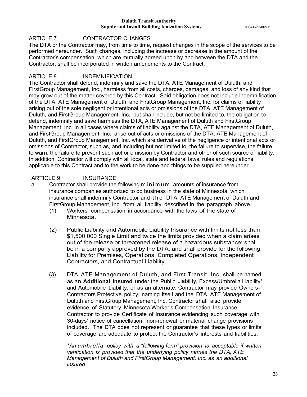### ARTICLE 7 CONTRACTOR CHANGES

The DTA or the Contractor may, from time to time, request changes in the scope of the services to be performed hereunder. Such changes, including the increase or decrease in the amount of the Contractor's compensation, which are mutually agreed upon by and between the DTA and the Contractor, shall be incorporated in written amendments to the Contract.

### ARTICLE 8 INDEMNIFICATION

The Contractor shall defend, indemnify and save the DTA, ATE Management of Duluth, and FirstGroup Management, Inc., harmless from all costs, charges, damages, and loss of any kind that may grow out of the matter covered by this Contract. Said obligation does not include indemnification of the DTA, ATE Management of Duluth, and FirstGroup Management, Inc. for claims of liability arising out of the sole negligent or intentional acts or omissions of the DTA, ATE Management of Duluth, and FirstGroup Management, Inc., but shall include, but not be limited to, the obligation to defend, indemnify and save harmless the DTA, ATE Management of Duluth and FirstGroup Management, Inc. in all cases where claims of liability against the DTA, ATE Management of Duluth, and FirstGroup Management, Inc., arise out of acts or omissions of the DTA, ATE Management of Duluth, and FirstGroup Management, Inc. which are derivative of the negligence or intentional acts or omissions of Contractor, such as, and including but not limited to, the failure to supervise, the failure to warn, the failure to prevent such act or omission by Contractor and other of such source of liability. In addition, Contractor will comply with all local, state and federal laws, rules and regulations applicable to this Contract and to the work to be done and things to be supplied hereunder.

### ARTICLE 9 INSURANCE

- a. Contractor shall provide the following minimum amounts of insurance from insurance companies authorized to do business in the state of Minnesota, which insurance shall indemnify Contractor and t h e DTA, ATE Management of Duluth and FirstGroup Management, Inc. from all liability described in the paragraph above.
	- (1) Workers' compensation in accordance with the laws of the state of Minnesota.
	- (2) Public Liability and Automobile Liability Insurance with limits not less than \$1,500,000 Single Limit and twice the limits provided when a claim arises out of the release or threatened release of a hazardous substance; shall be in a company approved by the DTA; and shall provide for the following: Liability for Premises, Operations, Completed Operations, Independent Contractors, and Contractual Liability.
	- (3) DTA, ATE Management of Duluth, and First Transit, Inc. shall be named as an **Additional Insured** under the Public Liability, Excess/Umbrella Liability\* and Automobile Liability, or as an alternate, Contractor may provide Owners-Contractors Protective policy, naming itself and the DTA, ATE Management of Duluth and FirstGroup Management, Inc. Contractor shall also provide evidence of Statutory Minnesota Worker's Compensation Insurance. Contractor to provide Certificate of Insurance evidencing such coverage with 30-days' notice of cancellation, non-renewal or material change provisions included. The DTA does not represent or guarantee that these types or limits of coverage are adequate to protect the Contractor's interests and liabilities.

\*An umbrella policy with a "following form" provision is acceptable if written verification is provided that the underlying policy names the DTA, ATE Management of Duluth and FirstGroup Management, Inc. as an additional insured.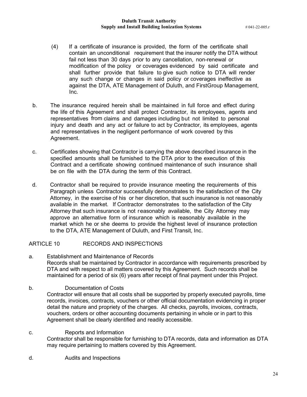- (4) If a certificate of insurance is provided, the form of the certificate shall contain an unconditional requirement that the insurer notify the DTA without fail not less than 30 days prior to any cancellation, non-renewal or modification of the policy or coverages evidenced by said certificate and shall further provide that failure to give such notice to DTA will render any such change or changes in said policy or coverages ineffective as against the DTA, ATE Management of Duluth, and FirstGroup Management, Inc.
- b. The insurance required herein shall be maintained in full force and effect during the life of this Agreement and shall protect Contractor, its employees, agents and representatives from claims and damages including but not limited to personal injury and death and any act or failure to act by Contractor, its employees, agents and representatives in the negligent performance of work covered by this Agreement.
- c. Certificates showing that Contractor is carrying the above described insurance in the specified amounts shall be furnished to the DTA prior to the execution of this Contract and a certificate showing continued maintenance of such insurance shall be on file with the DTA during the term of this Contract.
- d. Contractor shall be required to provide insurance meeting the requirements of this Paragraph unless Contractor successfully demonstrates to the satisfaction of the City Attorney, in the exercise of his or her discretion, that such insurance is not reasonably available in the market. If Contractor demonstrates to the satisfaction of the City Attorney that such insurance is not reasonably available, the City Attorney may approve an alternative form of insurance which is reasonably available in the market which he or she deems to provide the highest level of insurance protection to the DTA, ATE Management of Duluth, and First Transit, Inc.

### ARTICLE 10 RECORDS AND INSPECTIONS

- a. Establishment and Maintenance of Records Records shall be maintained by Contractor in accordance with requirements prescribed by DTA and with respect to all matters covered by this Agreement. Such records shall be maintained for a period of six (6) years after receipt of final payment under this Project.
- b. Documentation of Costs Contractor will ensure that all costs shall be supported by properly executed payrolls, time records, invoices, contracts, vouchers or other official documentation evidencing in proper detail the nature and propriety of the charges. All checks, payrolls, invoices, contracts, vouchers, orders or other accounting documents pertaining in whole or in part to this Agreement shall be clearly identified and readily accessible.
- c. Reports and Information Contractor shall be responsible for furnishing to DTA records, data and information as DTA may require pertaining to matters covered by this Agreement.
- d. Audits and Inspections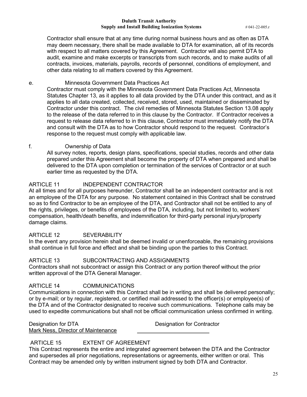Contractor shall ensure that at any time during normal business hours and as often as DTA may deem necessary, there shall be made available to DTA for examination, all of its records with respect to all matters covered by this Agreement. Contractor will also permit DTA to audit, examine and make excerpts or transcripts from such records, and to make audits of all contracts, invoices, materials, payrolls, records of personnel, conditions of employment, and other data relating to all matters covered by this Agreement.

### e. Minnesota Government Data Practices Act

Contractor must comply with the Minnesota Government Data Practices Act, Minnesota Statutes Chapter 13, as it applies to all data provided by the DTA under this contract, and as it applies to all data created, collected, received, stored, used, maintained or disseminated by Contractor under this contract. The civil remedies of Minnesota Statutes Section 13.08 apply to the release of the data referred to in this clause by the Contractor. If Contractor receives a request to release data referred to in this clause, Contractor must immediately notify the DTA and consult with the DTA as to how Contractor should respond to the request. Contractor's response to the request must comply with applicable law.

### f. Ownership of Data

All survey notes, reports, design plans, specifications, special studies, records and other data prepared under this Agreement shall become the property of DTA when prepared and shall be delivered to the DTA upon completion or termination of the services of Contractor or at such earlier time as requested by the DTA.

### ARTICLE 11 INDEPENDENT CONTRACTOR

At all times and for all purposes hereunder, Contractor shall be an independent contractor and is not an employee of the DTA for any purpose. No statement contained in this Contract shall be construed so as to find Contractor to be an employee of the DTA, and Contractor shall not be entitled to any of the rights, privileges, or benefits of employees of the DTA, including, but not limited to, workers' compensation, health/death benefits, and indemnification for third-party personal injury/property damage claims.

### ARTICLE 12 SEVERABILITY

In the event any provision herein shall be deemed invalid or unenforceable, the remaining provisions shall continue in full force and effect and shall be binding upon the parties to this Contract.

### ARTICLE 13 SUBCONTRACTING AND ASSIGNMENTS

Contractors shall not subcontract or assign this Contract or any portion thereof without the prior written approval of the DTA General Manager.

### ARTICLE 14 COMMUNICATIONS

Communications in connection with this Contract shall be in writing and shall be delivered personally; or by e-mail; or by regular, registered, or certified mail addressed to the officer(s) or employee(s) of the DTA and of the Contractor designated to receive such communications. Telephone calls may be used to expedite communications but shall not be official communication unless confirmed in writing.

Designation for DTA Designation for Contractor Mark Ness, Director of Maintenance

### ARTICLE 15 EXTENT OF AGREEMENT

This Contract represents the entire and integrated agreement between the DTA and the Contractor and supersedes all prior negotiations, representations or agreements, either written or oral. This Contract may be amended only by written instrument signed by both DTA and Contractor.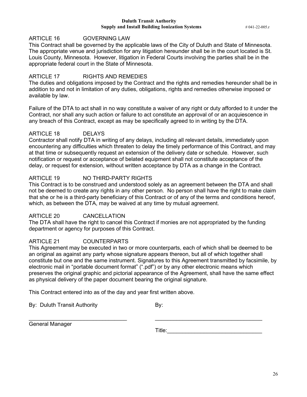### ARTICLE 16 GOVERNING LAW

This Contract shall be governed by the applicable laws of the City of Duluth and State of Minnesota. The appropriate venue and jurisdiction for any litigation hereunder shall be in the court located is St. Louis County, Minnesota. However, litigation in Federal Courts involving the parties shall be in the appropriate federal court in the State of Minnesota.

### ARTICLE 17 RIGHTS AND REMEDIES

The duties and obligations imposed by the Contract and the rights and remedies hereunder shall be in addition to and not in limitation of any duties, obligations, rights and remedies otherwise imposed or available by law.

Failure of the DTA to act shall in no way constitute a waiver of any right or duty afforded to it under the Contract, nor shall any such action or failure to act constitute an approval of or an acquiescence in any breach of this Contract, except as may be specifically agreed to in writing by the DTA.

### ARTICLE 18 DELAYS

Contractor shall notify DTA in writing of any delays, including all relevant details, immediately upon encountering any difficulties which threaten to delay the timely performance of this Contract, and may at that time or subsequently request an extension of the delivery date or schedule. However, such notification or request or acceptance of belated equipment shall not constitute acceptance of the delay, or request for extension, without written acceptance by DTA as a change in the Contract.

### ARTICLE 19 NO THIRD-PARTY RIGHTS

This Contract is to be construed and understood solely as an agreement between the DTA and shall not be deemed to create any rights in any other person. No person shall have the right to make claim that she or he is a third-party beneficiary of this Contract or of any of the terms and conditions hereof, which, as between the DTA, may be waived at any time by mutual agreement.

### ARTICLE 20 CANCELLATION

The DTA shall have the right to cancel this Contract if monies are not appropriated by the funding department or agency for purposes of this Contract.

### ARTICLE 21 COUNTERPARTS

This Agreement may be executed in two or more counterparts, each of which shall be deemed to be an original as against any party whose signature appears thereon, but all of which together shall constitute but one and the same instrument. Signatures to this Agreement transmitted by facsimile, by electronic mail in "portable document format" (".pdf") or by any other electronic means which preserves the original graphic and pictorial appearance of the Agreement, shall have the same effect as physical delivery of the paper document bearing the original signature.

This Contract entered into as of the day and year first written above.

| By: Duluth Transit Authority | By: |  |
|------------------------------|-----|--|
|                              |     |  |

General Manager

Title:\_\_\_\_\_\_\_\_\_\_\_\_\_\_\_\_\_\_\_\_\_\_\_\_\_\_\_\_\_\_\_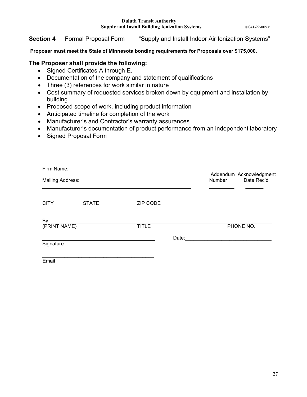### Section 4 Formal Proposal Form "Supply and Install Indoor Air Ionization Systems"

Proposer must meet the State of Minnesota bonding requirements for Proposals over \$175,000.

### The Proposer shall provide the following:

- Signed Certificates A through E.
- Documentation of the company and statement of qualifications
- Three (3) references for work similar in nature
- Cost summary of requested services broken down by equipment and installation by building
- Proposed scope of work, including product information
- Anticipated timeline for completion of the work
- Manufacturer's and Contractor's warranty assurances
- Manufacturer's documentation of product performance from an independent laboratory
- Signed Proposal Form

| <b>Mailing Address:</b> |              |                 | Number                                         | Addendum Acknowledgment<br>Date Rec'd |
|-------------------------|--------------|-----------------|------------------------------------------------|---------------------------------------|
|                         |              |                 |                                                |                                       |
| <b>CITY</b>             | <b>STATE</b> | <b>ZIP CODE</b> |                                                |                                       |
|                         |              |                 |                                                |                                       |
| (PRINT NAME)            |              | <b>TITLE</b>    |                                                | PHONE NO.                             |
|                         |              |                 | Date: <u>_________________________________</u> |                                       |
| Signature               |              |                 |                                                |                                       |
|                         |              |                 |                                                |                                       |

**Email**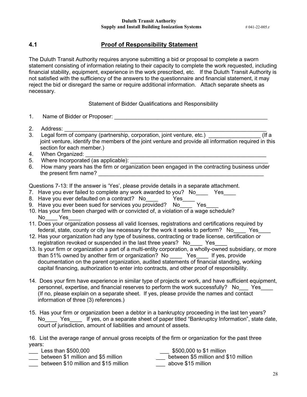# 4.1 Proof of Responsibility Statement

The Duluth Transit Authority requires anyone submitting a bid or proposal to complete a sworn statement consisting of information relating to their capacity to complete the work requested, including financial stability, equipment, experience in the work prescribed, etc. If the Duluth Transit Authority is not satisfied with the sufficiency of the answers to the questionnaire and financial statement, it may reject the bid or disregard the same or require additional information. Attach separate sheets as necessary.

#### Statement of Bidder Qualifications and Responsibility

- 1. Name of Bidder or Proposer: \_\_\_\_\_\_\_\_\_\_\_\_\_\_\_\_\_\_\_\_\_\_\_\_\_\_\_\_\_\_\_\_\_\_\_\_\_\_\_\_\_\_\_\_\_\_\_\_\_\_
- 2. Address: \_\_\_\_\_\_\_\_\_\_\_\_\_\_\_\_\_\_\_\_\_\_\_\_\_\_\_\_\_\_\_\_\_\_\_\_\_\_\_\_\_\_\_\_\_\_\_\_\_\_\_\_\_\_\_\_\_\_\_\_\_\_\_\_\_\_
- 3. Legal form of company (partnership, corporation, joint venture, etc.) \_\_\_\_\_\_\_\_\_\_\_\_\_\_\_\_\_\_\_\_\_\_\_(If a joint venture, identify the members of the joint venture and provide all information required in this section for each member.)
- 4. When Organized:
- 5. Where Incorporated (as applicable):
- 6. How many years has the firm or organization been engaged in the contracting business under the present firm name?

Questions 7-13: If the answer is 'Yes', please provide details in a separate attachment.

- 7. Have you ever failed to complete any work awarded to you? No Yes
- 8. Have you ever defaulted on a contract? No\_\_\_\_\_ Yes\_
- 9. Have you ever been sued for services you provided? No  $\overline{\hspace{1cm}}$  Yes
- 10. Has your firm been charged with or convicted of, a violation of a wage schedule? No<sup>Yes</sup>
- 11. Does your organization possess all valid licenses, registrations and certifications required by federal, state, county or city law necessary for the work it seeks to perform? No \_\_\_\_ Yes \_\_\_
- 12. Has your organization had any type of business, contracting or trade license, certification or registration revoked or suspended in the last three years? No Yes
- 13. Is your firm or organization a part of a multi-entity corporation, a wholly-owned subsidiary, or more than 51% owned by another firm or organization? No \_\_\_\_ Yes\_\_\_\_ If yes, provide documentation on the parent organization, audited statements of financial standing, working capital financing, authorization to enter into contracts, and other proof of responsibility.
- 14. Does your firm have experience in similar type of projects or work, and have sufficient equipment, personnel, expertise, and financial reserves to perform the work successfully? No Yes (If no, please explain on a separate sheet. If yes, please provide the names and contact information of three (3) references.)
- 15. Has your firm or organization been a debtor in a bankruptcy proceeding in the last ten years? No Yes If yes, on a separate sheet of paper titled "Bankruptcy Information", state date, court of jurisdiction, amount of liabilities and amount of assets.

16. List the average range of annual gross receipts of the firm or organization for the past three years:

- \_\_\_ Less than \$500,000 \_\_\_ \$500,000 to \$1 million Letween \$1 million and \$5 million Letter Controllect between \$5 million and \$10 million
- Letween \$10 million and \$15 million Lettuck and Superson above \$15 million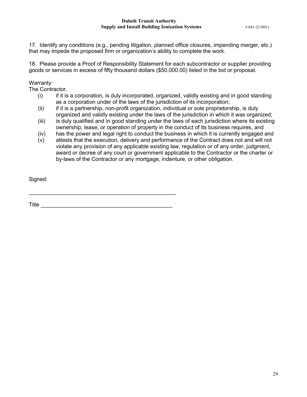17. Identify any conditions (e.g., pending litigation, planned office closures, impending merger, etc.) that may impede the proposed firm or organization's ability to complete the work.

18. Please provide a Proof of Responsibility Statement for each subcontractor or supplier providing goods or services in excess of fifty thousand dollars (\$50,000.00) listed in the bid or proposal.

### Warranty:

The Contractor,

- (i) if it is a corporation, is duly incorporated, organized, validly existing and in good standing as a corporation under of the laws of the jurisdiction of its incorporation;
- (ii) if it is a partnership, non-profit organization, individual or sole proprietorship, is duly organized and validly existing under the laws of the jurisdiction in which it was organized;
- (iii) is duly qualified and in good standing under the laws of each jurisdiction where its existing ownership, lease, or operation of property in the conduct of its business requires, and
- (iv) has the power and legal right to conduct the business in which it is currently engaged and
- (v) attests that the execution, delivery and performance of the Contract does not and will not violate any provision of any applicable existing law, regulation or of any order, judgment, award or decree of any court or government applicable to the Contractor or the charter or by-laws of the Contractor or any mortgage, indenture, or other obligation.

Signed:

Title  $\qquad \qquad \qquad \qquad \qquad \qquad$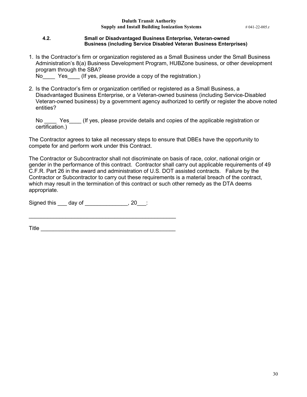#### 4.2. Small or Disadvantaged Business Enterprise, Veteran-owned Business (including Service Disabled Veteran Business Enterprises)

1. Is the Contractor's firm or organization registered as a Small Business under the Small Business Administration's 8(a) Business Development Program, HUBZone business, or other development program through the SBA?

No Yes (If yes, please provide a copy of the registration.)

2. Is the Contractor's firm or organization certified or registered as a Small Business, a Disadvantaged Business Enterprise, or a Veteran-owned business (including Service-Disabled Veteran-owned business) by a government agency authorized to certify or register the above noted entities?

No Yes (If yes, please provide details and copies of the applicable registration or certification.)

The Contractor agrees to take all necessary steps to ensure that DBEs have the opportunity to compete for and perform work under this Contract.

The Contractor or Subcontractor shall not discriminate on basis of race, color, national origin or gender in the performance of this contract. Contractor shall carry out applicable requirements of 49 C.F.R. Part 26 in the award and administration of U.S. DOT assisted contracts. Failure by the Contractor or Subcontractor to carry out these requirements is a material breach of the contract, which may result in the termination of this contract or such other remedy as the DTA deems appropriate.

Signed this \_\_\_ day of \_\_\_\_\_\_\_\_\_\_\_\_, 20\_\_\_:

 $\blacksquare$  Title

\_\_\_\_\_\_\_\_\_\_\_\_\_\_\_\_\_\_\_\_\_\_\_\_\_\_\_\_\_\_\_\_\_\_\_\_\_\_\_\_\_\_\_\_\_\_\_\_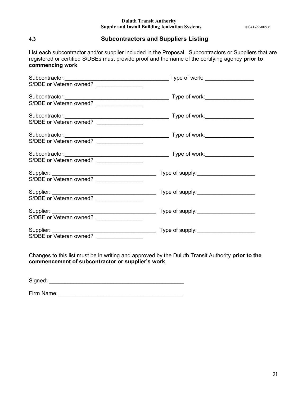### 4.3 Subcontractors and Suppliers Listing

List each subcontractor and/or supplier included in the Proposal. Subcontractors or Suppliers that are registered or certified S/DBEs must provide proof and the name of the certifying agency prior to commencing work.

| S/DBE or Veteran owned?                |  |
|----------------------------------------|--|
|                                        |  |
|                                        |  |
|                                        |  |
|                                        |  |
|                                        |  |
|                                        |  |
| S/DBE or Veteran owned? ______________ |  |
|                                        |  |

Changes to this list must be in writing and approved by the Duluth Transit Authority prior to the commencement of subcontractor or supplier's work.

Signed: \_\_\_\_\_\_\_\_\_\_\_\_\_\_\_\_\_\_\_\_\_\_\_\_\_\_\_\_\_\_\_\_\_\_\_\_\_\_\_\_\_\_\_\_

Firm Name:\_\_\_\_\_\_\_\_\_\_\_\_\_\_\_\_\_\_\_\_\_\_\_\_\_\_\_\_\_\_\_\_\_\_\_\_\_\_\_\_\_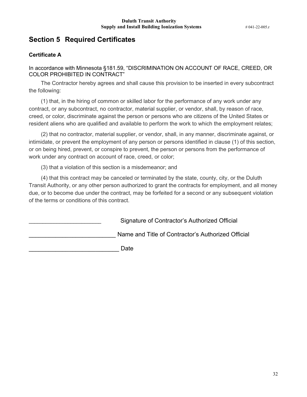# Section 5 Required Certificates

### Certificate A

In accordance with Minnesota §181.59, "DISCRIMINATION ON ACCOUNT OF RACE, CREED, OR COLOR PROHIBITED IN CONTRACT"

The Contractor hereby agrees and shall cause this provision to be inserted in every subcontract the following:

(1) that, in the hiring of common or skilled labor for the performance of any work under any contract, or any subcontract, no contractor, material supplier, or vendor, shall, by reason of race, creed, or color, discriminate against the person or persons who are citizens of the United States or resident aliens who are qualified and available to perform the work to which the employment relates;

(2) that no contractor, material supplier, or vendor, shall, in any manner, discriminate against, or intimidate, or prevent the employment of any person or persons identified in clause (1) of this section, or on being hired, prevent, or conspire to prevent, the person or persons from the performance of work under any contract on account of race, creed, or color;

(3) that a violation of this section is a misdemeanor; and

(4) that this contract may be canceled or terminated by the state, county, city, or the Duluth Transit Authority, or any other person authorized to grant the contracts for employment, and all money due, or to become due under the contract, may be forfeited for a second or any subsequent violation of the terms or conditions of this contract.

Signature of Contractor's Authorized Official

Name and Title of Contractor's Authorized Official

Date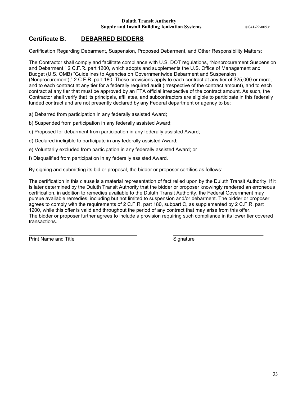### Certificate B. DEBARRED BIDDERS

Certification Regarding Debarment, Suspension, Proposed Debarment, and Other Responsibility Matters:

The Contractor shall comply and facilitate compliance with U.S. DOT regulations, "Nonprocurement Suspension and Debarment," 2 C.F.R. part 1200, which adopts and supplements the U.S. Office of Management and Budget (U.S. OMB) "Guidelines to Agencies on Governmentwide Debarment and Suspension (Nonprocurement)," 2 C.F.R. part 180. These provisions apply to each contract at any tier of \$25,000 or more, and to each contract at any tier for a federally required audit (irrespective of the contract amount), and to each contract at any tier that must be approved by an FTA official irrespective of the contract amount. As such, the Contractor shall verify that its principals, affiliates, and subcontractors are eligible to participate in this federally funded contract and are not presently declared by any Federal department or agency to be:

- a) Debarred from participation in any federally assisted Award;
- b) Suspended from participation in any federally assisted Award;
- c) Proposed for debarment from participation in any federally assisted Award;
- d) Declared ineligible to participate in any federally assisted Award;
- e) Voluntarily excluded from participation in any federally assisted Award; or
- f) Disqualified from participation in ay federally assisted Award.

By signing and submitting its bid or proposal, the bidder or proposer certifies as follows:

The certification in this clause is a material representation of fact relied upon by the Duluth Transit Authority. If it is later determined by the Duluth Transit Authority that the bidder or proposer knowingly rendered an erroneous certification, in addition to remedies available to the Duluth Transit Authority, the Federal Government may pursue available remedies, including but not limited to suspension and/or debarment. The bidder or proposer agrees to comply with the requirements of 2 C.F.R. part 180, subpart C, as supplemented by 2 C.F.R. part 1200, while this offer is valid and throughout the period of any contract that may arise from this offer. The bidder or proposer further agrees to include a provision requiring such compliance in its lower tier covered transactions.

Print Name and Title **Signature** Signature

 $\overline{a}$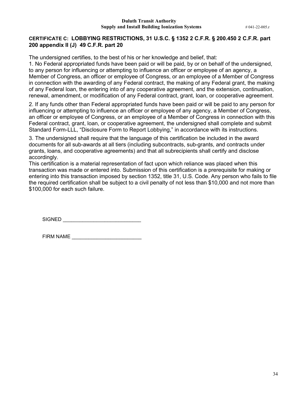### CERTIFICATE C: LOBBYING RESTRICTIONS, 31 U.S.C. § 1352 2 C.F.R. § 200.450 2 C.F.R. part 200 appendix II (J) 49 C.F.R. part 20

The undersigned certifies, to the best of his or her knowledge and belief, that:

1. No Federal appropriated funds have been paid or will be paid, by or on behalf of the undersigned, to any person for influencing or attempting to influence an officer or employee of an agency, a Member of Congress, an officer or employee of Congress, or an employee of a Member of Congress in connection with the awarding of any Federal contract, the making of any Federal grant, the making of any Federal loan, the entering into of any cooperative agreement, and the extension, continuation, renewal, amendment, or modification of any Federal contract, grant, loan, or cooperative agreement.

2. If any funds other than Federal appropriated funds have been paid or will be paid to any person for influencing or attempting to influence an officer or employee of any agency, a Member of Congress, an officer or employee of Congress, or an employee of a Member of Congress in connection with this Federal contract, grant, loan, or cooperative agreement, the undersigned shall complete and submit Standard Form-LLL, "Disclosure Form to Report Lobbying," in accordance with its instructions.

3. The undersigned shall require that the language of this certification be included in the award documents for all sub-awards at all tiers (including subcontracts, sub-grants, and contracts under grants, loans, and cooperative agreements) and that all subrecipients shall certify and disclose accordingly.

This certification is a material representation of fact upon which reliance was placed when this transaction was made or entered into. Submission of this certification is a prerequisite for making or entering into this transaction imposed by section 1352, title 31, U.S. Code. Any person who fails to file the required certification shall be subject to a civil penalty of not less than \$10,000 and not more than \$100,000 for each such failure.

SIGNED \_\_\_\_\_\_\_\_\_\_\_\_\_\_\_\_\_\_\_\_\_\_\_\_\_\_\_\_

| <b>FIRM NAME</b> |  |
|------------------|--|
|                  |  |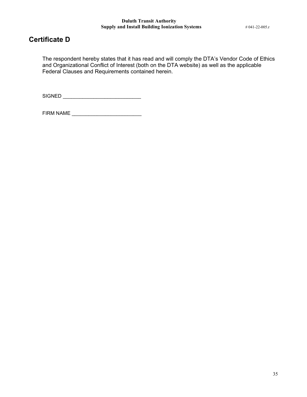# Certificate D

The respondent hereby states that it has read and will comply the DTA's Vendor Code of Ethics and Organizational Conflict of Interest (both on the DTA website) as well as the applicable Federal Clauses and Requirements contained herein.

 $\begin{picture}(15,10) \put(0,0){\dashbox{0.5}(10,0){ }} \put(15,0){\dashbox{0.5}(10,0){ }} \put(15,0){\dashbox{0.5}(10,0){ }} \put(15,0){\dashbox{0.5}(10,0){ }} \put(15,0){\dashbox{0.5}(10,0){ }} \put(15,0){\dashbox{0.5}(10,0){ }} \put(15,0){\dashbox{0.5}(10,0){ }} \put(15,0){\dashbox{0.5}(10,0){ }} \put(15,0){\dashbox{0.5}(10,0){ }} \put(15,0){\dashbox{$ 

FIRM NAME \_\_\_\_\_\_\_\_\_\_\_\_\_\_\_\_\_\_\_\_\_\_\_\_\_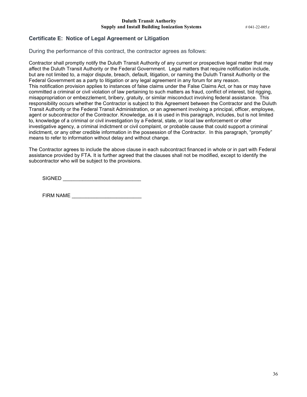### Certificate E: Notice of Legal Agreement or Litigation

During the performance of this contract, the contractor agrees as follows:

Contractor shall promptly notify the Duluth Transit Authority of any current or prospective legal matter that may affect the Duluth Transit Authority or the Federal Government. Legal matters that require notification include, but are not limited to, a major dispute, breach, default, litigation, or naming the Duluth Transit Authority or the Federal Government as a party to litigation or any legal agreement in any forum for any reason. This notification provision applies to instances of false claims under the False Claims Act, or has or may have committed a criminal or civil violation of law pertaining to such matters as fraud, conflict of interest, bid rigging, misappropriation or embezzlement, bribery, gratuity, or similar misconduct involving federal assistance. This responsibility occurs whether the Contractor is subject to this Agreement between the Contractor and the Duluth Transit Authority or the Federal Transit Administration, or an agreement involving a principal, officer, employee, agent or subcontractor of the Contractor. Knowledge, as it is used in this paragraph, includes, but is not limited to, knowledge of a criminal or civil investigation by a Federal, state, or local law enforcement or other investigative agency, a criminal indictment or civil complaint, or probable cause that could support a criminal indictment, or any other credible information in the possession of the Contractor. In this paragraph, "promptly" means to refer to information without delay and without change.

The Contractor agrees to include the above clause in each subcontract financed in whole or in part with Federal assistance provided by FTA. It is further agreed that the clauses shall not be modified, except to identify the subcontractor who will be subject to the provisions.

SIGNED \_\_\_\_\_\_\_\_\_\_\_\_\_\_\_\_\_\_\_\_\_\_\_\_\_\_\_\_

FIRM NAME \_\_\_\_\_\_\_\_\_\_\_\_\_\_\_\_\_\_\_\_\_\_\_\_\_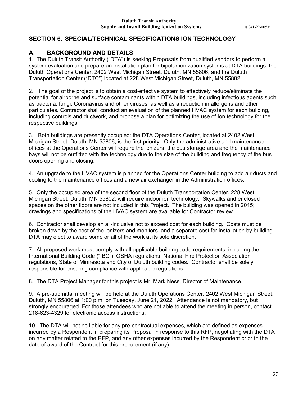### SECTION 6. SPECIAL/TECHNICAL SPECIFICATIONS ION TECHNOLOGY

### A. BACKGROUND AND DETAILS

1. The Duluth Transit Authority ("DTA") is seeking Proposals from qualified vendors to perform a system evaluation and prepare an installation plan for bipolar ionization systems at DTA buildings; the Duluth Operations Center, 2402 West Michigan Street, Duluth, MN 55806, and the Duluth Transportation Center ("DTC") located at 228 West Michigan Street, Duluth, MN 55802.

2. The goal of the project is to obtain a cost-effective system to effectively reduce/eliminate the potential for airborne and surface contaminants within DTA buildings, including infectious agents such as bacteria, fungi, Coronavirus and other viruses, as well as a reduction in allergens and other particulates. Contractor shall conduct an evaluation of the planned HVAC system for each building, including controls and ductwork, and propose a plan for optimizing the use of Ion technology for the respective buildings.

3. Both buildings are presently occupied: the DTA Operations Center, located at 2402 West Michigan Street, Duluth, MN 55806, is the first priority. Only the administrative and maintenance offices at the Operations Center will require the ionizers, the bus storage area and the maintenance bays will not be outfitted with the technology due to the size of the building and frequency of the bus doors opening and closing.

4. An upgrade to the HVAC system is planned for the Operations Center building to add air ducts and cooling to the maintenance offices and a new air exchanger in the Administration offices.

5. Only the occupied area of the second floor of the Duluth Transportation Center, 228 West Michigan Street, Duluth, MN 55802, will require indoor ion technology. Skywalks and enclosed spaces on the other floors are not included in this Project. The building was opened in 2015; drawings and specifications of the HVAC system are available for Contractor review.

6. Contractor shall develop an all-inclusive not to exceed cost for each building. Costs must be broken down by the cost of the ionizers and monitors, and a separate cost for installation by building. DTA may elect to award some or all of the work at its sole discretion.

7. All proposed work must comply with all applicable building code requirements, including the International Building Code ("IBC"), OSHA regulations, National Fire Protection Association regulations, State of Minnesota and City of Duluth building codes. Contractor shall be solely responsible for ensuring compliance with applicable regulations.

8. The DTA Project Manager for this project is Mr. Mark Ness, Director of Maintenance.

9. A pre-submittal meeting will be held at the Duluth Operations Center, 2402 West Michigan Street, Duluth, MN 55806 at 1:00 p.m. on Tuesday, June 21, 2022. Attendance is not mandatory, but strongly encouraged. For those attendees who are not able to attend the meeting in person, contact 218-623-4329 for electronic access instructions.

10. The DTA will not be liable for any pre-contractual expenses, which are defined as expenses incurred by a Respondent in preparing its Proposal in response to this RFP, negotiating with the DTA on any matter related to the RFP, and any other expenses incurred by the Respondent prior to the date of award of the Contract for this procurement (if any).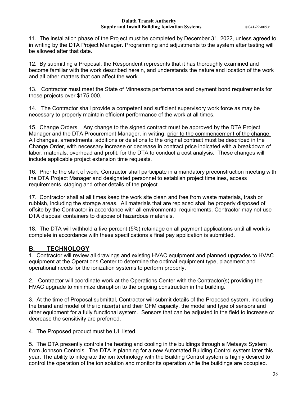11. The installation phase of the Project must be completed by December 31, 2022, unless agreed to in writing by the DTA Project Manager. Programming and adjustments to the system after testing will be allowed after that date.

12. By submitting a Proposal, the Respondent represents that it has thoroughly examined and become familiar with the work described herein, and understands the nature and location of the work and all other matters that can affect the work.

13. Contractor must meet the State of Minnesota performance and payment bond requirements for those projects over \$175,000.

14. The Contractor shall provide a competent and sufficient supervisory work force as may be necessary to properly maintain efficient performance of the work at all times.

15. Change Orders. Any change to the signed contract must be approved by the DTA Project Manager and the DTA Procurement Manager, in writing, prior to the commencement of the change. All changes, amendments, additions or deletions to the original contract must be described in the Change Order, with necessary increase or decrease in contract price indicated with a breakdown of labor, materials, overhead and profit, for the DTA to conduct a cost analysis. These changes will include applicable project extension time requests.

16. Prior to the start of work, Contractor shall participate in a mandatory preconstruction meeting with the DTA Project Manager and designated personnel to establish project timelines, access requirements, staging and other details of the project.

17. Contractor shall at all times keep the work site clean and free from waste materials, trash or rubbish, including the storage areas. All materials that are replaced shall be properly disposed of offsite by the Contractor in accordance with all environmental requirements. Contractor may not use DTA disposal containers to dispose of hazardous materials.

18. The DTA will withhold a five percent (5%) retainage on all payment applications until all work is complete in accordance with these specifications a final pay application is submitted.

### B. TECHNOLOGY

1. Contractor will review all drawings and existing HVAC equipment and planned upgrades to HVAC equipment at the Operations Center to determine the optimal equipment type, placement and operational needs for the ionization systems to perform properly.

2. Contractor will coordinate work at the Operations Center with the Contractor(s) providing the HVAC upgrade to minimize disruption to the ongoing construction in the building.

3. At the time of Proposal submittal, Contractor will submit details of the Proposed system, including the brand and model of the ioinizer(s) and their CFM capacity, the model and type of sensors and other equipment for a fully functional system. Sensors that can be adjusted in the field to increase or decrease the sensitivity are preferred.

4. The Proposed product must be UL listed.

5. The DTA presently controls the heating and cooling in the buildings through a Metasys System from Johnson Controls. The DTA is planning for a new Automated Building Control system later this year. The ability to integrate the ion technology with the Building Control system is highly desired to control the operation of the ion solution and monitor its operation while the buildings are occupied.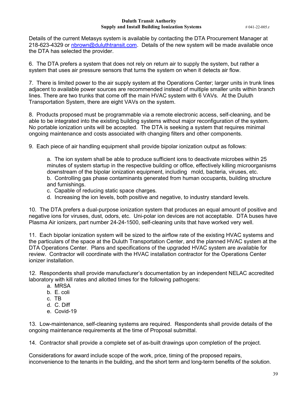Details of the current Metasys system is available by contacting the DTA Procurement Manager at 218-623-4329 or nbrown@duluthtransit.com. Details of the new system will be made available once the DTA has selected the provider.

6. The DTA prefers a system that does not rely on return air to supply the system, but rather a system that uses air pressure sensors that turns the system on when it detects air flow.

7. There is limited power to the air supply system at the Operations Center; larger units in trunk lines adjacent to available power sources are recommended instead of multiple smaller units within branch lines. There are two trunks that come off the main HVAC system with 6 VAVs. At the Duluth Transportation System, there are eight VAVs on the system.

8. Products proposed must be programmable via a remote electronic access, self-cleaning, and be able to be integrated into the existing building systems without major reconfiguration of the system. No portable ionization units will be accepted. The DTA is seeking a system that requires minimal ongoing maintenance and costs associated with changing filters and other components.

9. Each piece of air handling equipment shall provide bipolar ionization output as follows:

 a. The ion system shall be able to produce sufficient ions to deactivate microbes within 25 minutes of system startup in the respective building or office, effectively killing microorganisms downstream of the bipolar ionization equipment, including mold, bacteria, viruses, etc. b. Controlling gas phase contaminants generated from human occupants, building structure

and furnishings.

- c. Capable of reducing static space charges.
- d. Increasing the ion levels, both positive and negative, to industry standard levels.

10. The DTA prefers a dual-purpose ionization system that produces an equal amount of positive and negative ions for viruses, dust, odors, etc. Uni-polar ion devices are not acceptable. DTA buses have Plasma Air ionizers, part number 24-24-1500, self-cleaning units that have worked very well.

11. Each bipolar ionization system will be sized to the airflow rate of the existing HVAC systems and the particulars of the space at the Duluth Transportation Center, and the planned HVAC system at the DTA Operations Center. Plans and specifications of the upgraded HVAC system are available for review. Contractor will coordinate with the HVAC installation contractor for the Operations Center ionizer installation.

12. Respondents shall provide manufacturer's documentation by an independent NELAC accredited laboratory with kill rates and allotted times for the following pathogens:

- a. MRSA
- b. E. coli
- c. TB
- d. C. Diff
- e. Covid-19

13. Low-maintenance, self-cleaning systems are required. Respondents shall provide details of the ongoing maintenance requirements at the time of Proposal submittal.

14. Contractor shall provide a complete set of as-built drawings upon completion of the project.

Considerations for award include scope of the work, price, timing of the proposed repairs, inconvenience to the tenants in the building, and the short term and long-term benefits of the solution.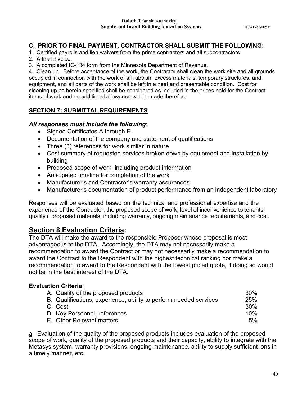### C. PRIOR TO FINAL PAYMENT, CONTRACTOR SHALL SUBMIT THE FOLLOWING:

- 1. Certified payrolls and lien waivers from the prime contractors and all subcontractors.
- 2. A final invoice.
- 3. A completed IC-134 form from the Minnesota Department of Revenue.

4. Clean up. Before acceptance of the work, the Contractor shall clean the work site and all grounds occupied in connection with the work of all rubbish, excess materials, temporary structures, and equipment, and all parts of the work shall be left in a neat and presentable condition. Cost for cleaning up as herein specified shall be considered as included in the prices paid for the Contract items of work and no additional allowance will be made therefore

### SECTION 7: SUBMITTAL REQUIREMENTS

### All responses must include the following:

- Signed Certificates A through E.
- Documentation of the company and statement of qualifications
- Three (3) references for work similar in nature
- Cost summary of requested services broken down by equipment and installation by building
- Proposed scope of work, including product information
- Anticipated timeline for completion of the work
- Manufacturer's and Contractor's warranty assurances
- Manufacturer's documentation of product performance from an independent laboratory

Responses will be evaluated based on the technical and professional expertise and the experience of the Contractor, the proposed scope of work, level of inconvenience to tenants, quality if proposed materials, including warranty, ongoing maintenance requirements, and cost.

## **Section 8 Evaluation Criteria:**

The DTA will make the award to the responsible Proposer whose proposal is most advantageous to the DTA. Accordingly, the DTA may not necessarily make a recommendation to award the Contract or may not necessarily make a recommendation to award the Contract to the Respondent with the highest technical ranking nor make a recommendation to award to the Respondent with the lowest priced quote, if doing so would not be in the best interest of the DTA.

### Evaluation Criteria:

| A. Quality of the proposed products                               | 30% |
|-------------------------------------------------------------------|-----|
| B. Qualifications, experience, ability to perform needed services | 25% |
| C. Cost                                                           | 30% |
| D. Key Personnel, references                                      | 10% |
| E. Other Relevant matters                                         | 5%  |

a. Evaluation of the quality of the proposed products includes evaluation of the proposed scope of work, quality of the proposed products and their capacity, ability to integrate with the Metasys system, warranty provisions, ongoing maintenance, ability to supply sufficient ions in a timely manner, etc.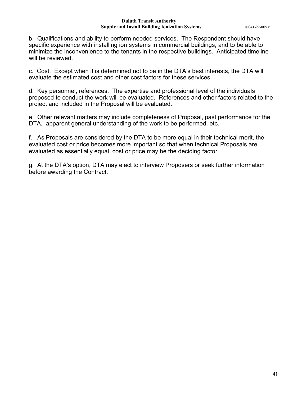b. Qualifications and ability to perform needed services. The Respondent should have specific experience with installing ion systems in commercial buildings, and to be able to minimize the inconvenience to the tenants in the respective buildings. Anticipated timeline will be reviewed.

c. Cost. Except when it is determined not to be in the DTA's best interests, the DTA will evaluate the estimated cost and other cost factors for these services.

d. Key personnel, references. The expertise and professional level of the individuals proposed to conduct the work will be evaluated. References and other factors related to the project and included in the Proposal will be evaluated.

e. Other relevant matters may include completeness of Proposal, past performance for the DTA, apparent general understanding of the work to be performed, etc.

f. As Proposals are considered by the DTA to be more equal in their technical merit, the evaluated cost or price becomes more important so that when technical Proposals are evaluated as essentially equal, cost or price may be the deciding factor.

g. At the DTA's option, DTA may elect to interview Proposers or seek further information before awarding the Contract.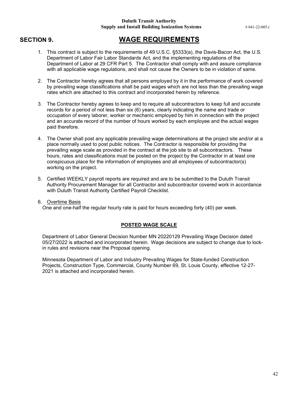### SECTION 9. WAGE REQUIREMENTS

- 1. This contract is subject to the requirements of 49 U.S.C. §5333(a), the Davis-Bacon Act, the U.S. Department of Labor Fair Labor Standards Act, and the implementing regulations of the Department of Labor at 29 CFR Part 5. The Contractor shall comply with and assure compliance with all applicable wage regulations, and shall not cause the Owners to be in violation of same.
- 2. The Contractor hereby agrees that all persons employed by it in the performance of work covered by prevailing wage classifications shall be paid wages which are not less than the prevailing wage rates which are attached to this contract and incorporated herein by reference.
- 3. The Contractor hereby agrees to keep and to require all subcontractors to keep full and accurate records for a period of not less than six (6) years, clearly indicating the name and trade or occupation of every laborer, worker or mechanic employed by him in connection with the project and an accurate record of the number of hours worked by each employee and the actual wages paid therefore.
- 4. The Owner shall post any applicable prevailing wage determinations at the project site and/or at a place normally used to post public notices. The Contractor is responsible for providing the prevailing wage scale as provided in the contract at the job site to all subcontractors. These hours, rates and classifications must be posted on the project by the Contractor in at least one conspicuous place for the information of employees and all employees of subcontractor(s) working on the project.
- 5. Certified WEEKLY payroll reports are required and are to be submitted to the Duluth Transit Authority Procurement Manager for all Contractor and subcontractor covered work in accordance with Duluth Transit Authority Certified Payroll Checklist.

#### 6. Overtime Basis

One and one-half the regular hourly rate is paid for hours exceeding forty (40) per week.

#### POSTED WAGE SCALE

Department of Labor General Decision Number MN 20220129 Prevailing Wage Decision dated 05/27/2022 is attached and incorporated herein. Wage decisions are subject to change due to lockin rules and revisions near the Proposal opening.

Minnesota Department of Labor and Industry Prevailing Wages for State-funded Construction Projects, Construction Type, Commercial, County Number 69, St. Louis County, effective 12-27- 2021 is attached and incorporated herein.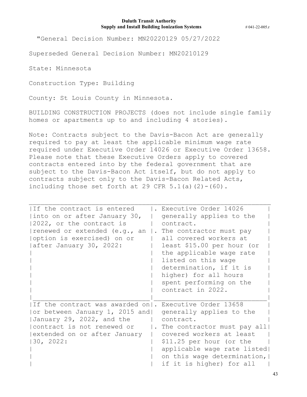"General Decision Number: MN20220129 05/27/2022

Superseded General Decision Number: MN20210129

State: Minnesota

Construction Type: Building

County: St Louis County in Minnesota.

BUILDING CONSTRUCTION PROJECTS (does not include single family homes or apartments up to and including 4 stories).

Note: Contracts subject to the Davis-Bacon Act are generally required to pay at least the applicable minimum wage rate required under Executive Order 14026 or Executive Order 13658. Please note that these Executive Orders apply to covered contracts entered into by the federal government that are subject to the Davis-Bacon Act itself, but do not apply to contracts subject only to the Davis-Bacon Related Acts, including those set forth at 29 CFR  $5.1(a)(2)-(60)$ .

| If the contract is entered<br>into on or after January 30,<br>2022, or the contract is<br>renewed or extended (e.g., an<br>option is exercised) on or<br>after January 30, 2022: | . Executive Order 14026<br>generally applies to the<br>contract.<br>The contractor must pay<br>all covered workers at<br>least \$15.00 per hour (or<br>the applicable wage rate<br>listed on this wage<br>determination, if it is<br>higher) for all hours<br>spent performing on the<br>contract in 2022. |
|----------------------------------------------------------------------------------------------------------------------------------------------------------------------------------|------------------------------------------------------------------------------------------------------------------------------------------------------------------------------------------------------------------------------------------------------------------------------------------------------------|
| If the contract was awarded on  .<br>or between January 1, 2015 and<br>January 29, 2022, and the<br>contract is not renewed or<br>extended on or after January<br>30, 2022:      | Executive Order 13658<br>generally applies to the<br>contract.<br>. The contractor must pay all<br>covered workers at least<br>\$11.25 per hour (or the<br>applicable wage rate listed<br>on this wage determination,  <br>if it is higher) for all                                                        |

43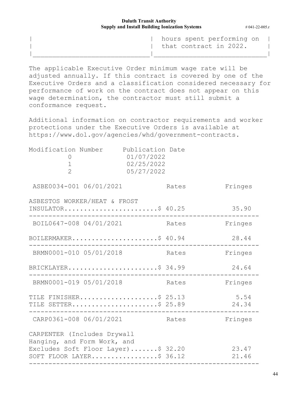| hours spent performing on |  |
|---------------------------|--|
| that contract in 2022.    |  |
|                           |  |

The applicable Executive Order minimum wage rate will be adjusted annually. If this contract is covered by one of the Executive Orders and a classification considered necessary for performance of work on the contract does not appear on this wage determination, the contractor must still submit a conformance request.

Additional information on contractor requirements and worker protections under the Executive Orders is available at https://www.dol.gov/agencies/whd/government-contracts.

| Modification Number Publication Date<br>0<br>$\mathbf{1}$<br>$\overline{2}$                                                   | 01/07/2022<br>02/25/2022<br>05/27/2022 |                  |  |
|-------------------------------------------------------------------------------------------------------------------------------|----------------------------------------|------------------|--|
| ASBE0034-001 06/01/2021                                                                                                       | Rates                                  | Fringes          |  |
| ASBESTOS WORKER/HEAT & FROST<br>$INSULATION \ldots \ldots \ldots \ldots \ldots \ldots \ldots \ldots \$ 40.25                  |                                        | 35.90            |  |
| BOIL0647-008 04/01/2021                                                                                                       |                                        | Fringes<br>Rates |  |
| BOILERMAKER\$ 40.94                                                                                                           |                                        | 28.44            |  |
| BRMN0001-010 05/01/2018                                                                                                       | Rates                                  | Fringes          |  |
| BRICKLAYER\$ 34.99                                                                                                            |                                        | 24.64            |  |
| BRMN0001-019 05/01/2018                                                                                                       |                                        | Fringes<br>Rates |  |
| TILE FINISHER\$ 25.13<br>TILE SETTER\$ 25.89                                                                                  |                                        | 5.54<br>24.34    |  |
| CARP0361-008 06/01/2021                                                                                                       |                                        | Rates<br>Fringes |  |
| CARPENTER (Includes Drywall<br>Hanging, and Form Work, and<br>Excludes Soft Floor Layer) \$ 32.20<br>SOFT FLOOR LAYER\$ 36.12 |                                        | 23.47<br>21.46   |  |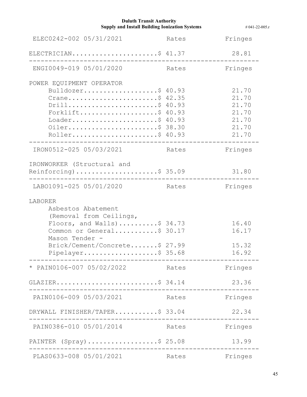| ELEC0242-002 05/31/2021                                                                                                                                                                                                     | Rates | Fringes                                                     |
|-----------------------------------------------------------------------------------------------------------------------------------------------------------------------------------------------------------------------------|-------|-------------------------------------------------------------|
| ELECTRICIAN\$ 41.37                                                                                                                                                                                                         |       | 28.81                                                       |
| ENGI0049-019 05/01/2020                                                                                                                                                                                                     | Rates | Fringes                                                     |
| POWER EQUIPMENT OPERATOR<br>Bulldozer\$ 40.93<br>Crane\$ 42.35<br>Drill\$ 40.93<br>Forklift\$ 40.93<br>Loader\$ $40.93$<br>Oiler\$ 38.30<br>Roller\$ 40.93                                                                  |       | 21.70<br>21.70<br>21.70<br>21.70<br>21.70<br>21.70<br>21.70 |
| IRON0512-025 05/03/2021                                                                                                                                                                                                     | Rates | Fringes                                                     |
| IRONWORKER (Structural and<br>Reinforcing)\$ 35.09                                                                                                                                                                          |       | 31.80                                                       |
| LAB01091-025 05/01/2020                                                                                                                                                                                                     | Rates | Fringes                                                     |
| LABORER<br>Asbestos Abatement<br>(Removal from Ceilings,<br>Floors, and Walls)\$ 34.73<br>Common or General\$ 30.17<br>Mason Tender -<br>Brick/Cement/Concrete\$ 27.99<br>Pipelayer\$ 35.68<br>---------------------------- |       | 16.40<br>16.17<br>15.32<br>16.92                            |
| * PAIN0106-007 05/02/2022                                                                                                                                                                                                   | Rates | Fringes                                                     |
| GLAZIER\$ 34.14                                                                                                                                                                                                             |       | 23.36                                                       |
| PAIN0106-009 05/03/2021                                                                                                                                                                                                     | Rates | Fringes                                                     |
| DRYWALL FINISHER/TAPER\$ 33.04                                                                                                                                                                                              |       | 22.34                                                       |
| PAIN0386-010 05/01/2014                                                                                                                                                                                                     | Rates | Fringes                                                     |
| PAINTER $(Spray)$ \$ 25.08                                                                                                                                                                                                  |       | 13.99                                                       |
| PLAS0633-008 05/01/2021                                                                                                                                                                                                     | Rates | Fringes                                                     |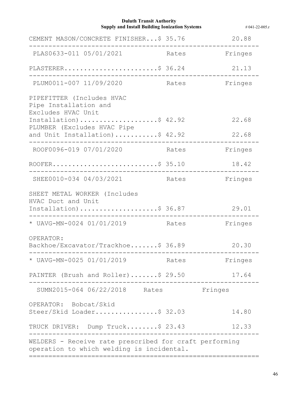| <b>Duluth Transit Authority</b><br><b>Supply and Install Building Ionization Systems</b><br># 041-22-005.r                     |       |         |  |  |  |
|--------------------------------------------------------------------------------------------------------------------------------|-------|---------|--|--|--|
| CEMENT MASON/CONCRETE FINISHER\$ 35.76                                                                                         |       | 20.88   |  |  |  |
| PLAS0633-011 05/01/2021                                                                                                        | Rates | Fringes |  |  |  |
| PLASTERER\$ 36.24                                                                                                              |       | 21.13   |  |  |  |
| PLUM0011-007 11/09/2020                                                                                                        | Rates | Fringes |  |  |  |
| PIPEFITTER (Includes HVAC<br>Pipe Installation and<br>Excludes HVAC Unit                                                       |       |         |  |  |  |
| Installation)\$ 42.92<br>PLUMBER (Excludes HVAC Pipe                                                                           |       | 22.68   |  |  |  |
| and Unit Installation)\$ 42.92                                                                                                 |       | 22.68   |  |  |  |
| ROOF0096-019 07/01/2020                                                                                                        | Rates | Fringes |  |  |  |
| ROOFER\$ 35.10                                                                                                                 |       | 18.42   |  |  |  |
| SHEE0010-034 04/03/2021                                                                                                        | Rates | Fringes |  |  |  |
| SHEET METAL WORKER (Includes<br>HVAC Duct and Unit<br>Installation)\$ 36.87                                                    |       | 29.01   |  |  |  |
|                                                                                                                                |       |         |  |  |  |
| * UAVG-MN-0024 01/01/2019                                                                                                      | Rates | Fringes |  |  |  |
| OPERATOR:<br>Backhoe/Excavator/Trackhoe\$ 36.89 20.30                                                                          |       |         |  |  |  |
| * UAVG-MN-0025 01/01/2019                                                                                                      | Rates | Fringes |  |  |  |
| PAINTER (Brush and Roller)\$ 29.50                                                                                             |       | 17.64   |  |  |  |
| SUMN2015-064 06/22/2018 Rates                                                                                                  |       | Fringes |  |  |  |
| OPERATOR: Bobcat/Skid<br>Steer/Skid Loader\$ 32.03                                                                             |       | 14.80   |  |  |  |
| TRUCK DRIVER: Dump Truck\$ 23.43                                                                                               |       | 12.33   |  |  |  |
| -----------------------<br>WELDERS - Receive rate prescribed for craft performing<br>operation to which welding is incidental. |       |         |  |  |  |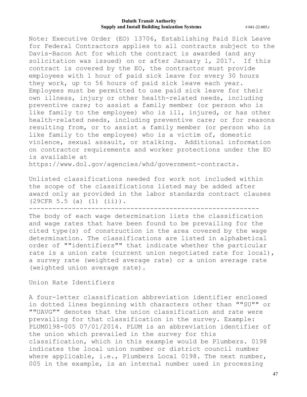Note: Executive Order (EO) 13706, Establishing Paid Sick Leave for Federal Contractors applies to all contracts subject to the Davis-Bacon Act for which the contract is awarded (and any solicitation was issued) on or after January 1, 2017. If this contract is covered by the EO, the contractor must provide employees with 1 hour of paid sick leave for every 30 hours they work, up to 56 hours of paid sick leave each year. Employees must be permitted to use paid sick leave for their own illness, injury or other health-related needs, including preventive care; to assist a family member (or person who is like family to the employee) who is ill, injured, or has other health-related needs, including preventive care; or for reasons resulting from, or to assist a family member (or person who is like family to the employee) who is a victim of, domestic violence, sexual assault, or stalking. Additional information on contractor requirements and worker protections under the EO is available at

https://www.dol.gov/agencies/whd/government-contracts.

Unlisted classifications needed for work not included within the scope of the classifications listed may be added after award only as provided in the labor standards contract clauses (29CFR 5.5 (a) (1) (ii)).

-----------------------------------------------------------

The body of each wage determination lists the classification and wage rates that have been found to be prevailing for the cited type(s) of construction in the area covered by the wage determination. The classifications are listed in alphabetical order of ""identifiers"" that indicate whether the particular rate is a union rate (current union negotiated rate for local), a survey rate (weighted average rate) or a union average rate (weighted union average rate).

Union Rate Identifiers

A four-letter classification abbreviation identifier enclosed in dotted lines beginning with characters other than ""SU"" or ""UAVG"" denotes that the union classification and rate were prevailing for that classification in the survey. Example: PLUM0198-005 07/01/2014. PLUM is an abbreviation identifier of the union which prevailed in the survey for this classification, which in this example would be Plumbers. 0198 indicates the local union number or district council number where applicable, i.e., Plumbers Local 0198. The next number, 005 in the example, is an internal number used in processing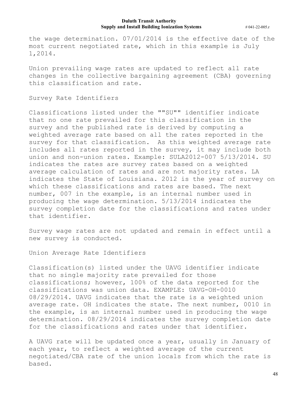the wage determination. 07/01/2014 is the effective date of the most current negotiated rate, which in this example is July 1,2014.

Union prevailing wage rates are updated to reflect all rate changes in the collective bargaining agreement (CBA) governing this classification and rate.

#### Survey Rate Identifiers

Classifications listed under the ""SU"" identifier indicate that no one rate prevailed for this classification in the survey and the published rate is derived by computing a weighted average rate based on all the rates reported in the survey for that classification. As this weighted average rate includes all rates reported in the survey, it may include both union and non-union rates. Example: SULA2012-007 5/13/2014. SU indicates the rates are survey rates based on a weighted average calculation of rates and are not majority rates. LA indicates the State of Louisiana. 2012 is the year of survey on which these classifications and rates are based. The next number, 007 in the example, is an internal number used in producing the wage determination. 5/13/2014 indicates the survey completion date for the classifications and rates under that identifier.

Survey wage rates are not updated and remain in effect until a new survey is conducted.

Union Average Rate Identifiers

Classification(s) listed under the UAVG identifier indicate that no single majority rate prevailed for those classifications; however, 100% of the data reported for the classifications was union data. EXAMPLE: UAVG-OH-0010 08/29/2014. UAVG indicates that the rate is a weighted union average rate. OH indicates the state. The next number, 0010 in the example, is an internal number used in producing the wage determination. 08/29/2014 indicates the survey completion date for the classifications and rates under that identifier.

A UAVG rate will be updated once a year, usually in January of each year, to reflect a weighted average of the current negotiated/CBA rate of the union locals from which the rate is based.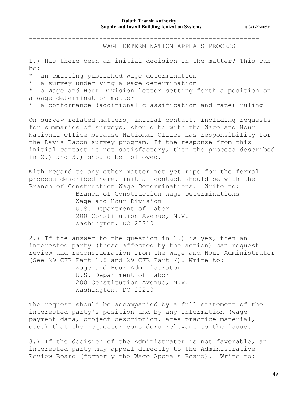### -----------------------------------------------------------

WAGE DETERMINATION APPEALS PROCESS

1.) Has there been an initial decision in the matter? This can be:

\* an existing published wage determination

\* a survey underlying a wage determination

- \* a Wage and Hour Division letter setting forth a position on a wage determination matter
- \* a conformance (additional classification and rate) ruling

On survey related matters, initial contact, including requests for summaries of surveys, should be with the Wage and Hour National Office because National Office has responsibility for the Davis-Bacon survey program. If the response from this initial contact is not satisfactory, then the process described in 2.) and 3.) should be followed.

With regard to any other matter not yet ripe for the formal process described here, initial contact should be with the Branch of Construction Wage Determinations. Write to: Branch of Construction Wage Determinations Wage and Hour Division U.S. Department of Labor 200 Constitution Avenue, N.W. Washington, DC 20210

2.) If the answer to the question in 1.) is yes, then an interested party (those affected by the action) can request review and reconsideration from the Wage and Hour Administrator (See 29 CFR Part 1.8 and 29 CFR Part 7). Write to:

> Wage and Hour Administrator U.S. Department of Labor 200 Constitution Avenue, N.W. Washington, DC 20210

The request should be accompanied by a full statement of the interested party's position and by any information (wage payment data, project description, area practice material, etc.) that the requestor considers relevant to the issue.

3.) If the decision of the Administrator is not favorable, an interested party may appeal directly to the Administrative Review Board (formerly the Wage Appeals Board). Write to: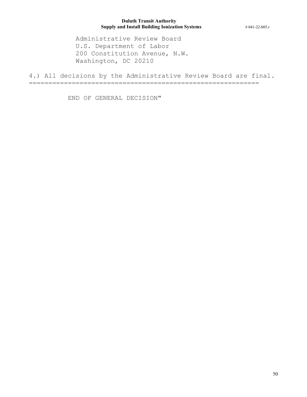Administrative Review Board U.S. Department of Labor 200 Constitution Avenue, N.W. Washington, DC 20210

4.) All decisions by the Administrative Review Board are final. ===========================================================

END OF GENERAL DECISION"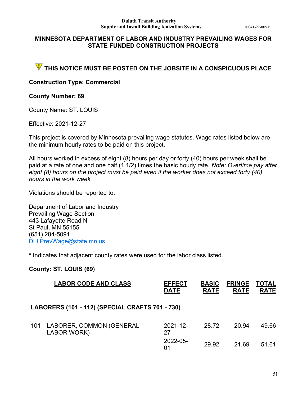### MINNESOTA DEPARTMENT OF LABOR AND INDUSTRY PREVAILING WAGES FOR STATE FUNDED CONSTRUCTION PROJECTS

# $\mathbf \Psi$  this notice must be posted on the jobsite in a conspicuous place

### Construction Type: Commercial

### County Number: 69

County Name: ST. LOUIS

Effective: 2021-12-27

This project is covered by Minnesota prevailing wage statutes. Wage rates listed below are the minimum hourly rates to be paid on this project.

All hours worked in excess of eight (8) hours per day or forty (40) hours per week shall be paid at a rate of one and one half (1 1/2) times the basic hourly rate. Note: Overtime pay after eight (8) hours on the project must be paid even if the worker does not exceed forty (40) hours in the work week.

Violations should be reported to:

Department of Labor and Industry Prevailing Wage Section 443 Lafayette Road N St Paul, MN 55155 (651) 284-5091 DLI.PrevWage@state.mn.us

\* Indicates that adjacent county rates were used for the labor class listed.

### County: ST. LOUIS (69)

|     | <b>LABOR CODE AND CLASS</b>                     | <b>EFFECT</b><br><b>DATE</b> | <b>BASIC</b><br><b>RATE</b> | <b>FRINGE</b><br><b>RATE</b> | <b>TOTAL</b><br><b>RATE</b> |
|-----|-------------------------------------------------|------------------------------|-----------------------------|------------------------------|-----------------------------|
|     | LABORERS (101 - 112) (SPECIAL CRAFTS 701 - 730) |                              |                             |                              |                             |
| 101 | LABORER, COMMON (GENERAL<br><b>LABOR WORK)</b>  | $2021 - 12$<br>27            | 28.72                       | 20.94                        | 49.66                       |
|     |                                                 | 2022-05-<br>01               | 29.92                       | 21.69                        | 51.61                       |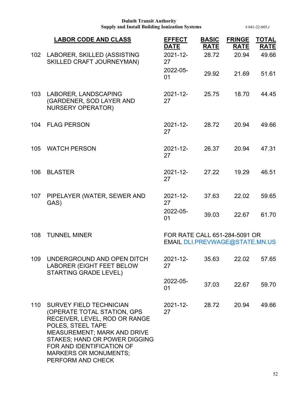|                  | <b>LABOR CODE AND CLASS</b>                                                                                                                                                                                                                                                         | <b>EFFECT</b><br><b>DATE</b>                                    | <b>BASIC</b><br><b>RATE</b> | <b>FRINGE</b><br><b>RATE</b> | <b>TOTAL</b><br><b>RATE</b> |
|------------------|-------------------------------------------------------------------------------------------------------------------------------------------------------------------------------------------------------------------------------------------------------------------------------------|-----------------------------------------------------------------|-----------------------------|------------------------------|-----------------------------|
| 102 <sub>2</sub> | LABORER, SKILLED (ASSISTING<br><b>SKILLED CRAFT JOURNEYMAN)</b>                                                                                                                                                                                                                     | 2021-12-<br>27                                                  | 28.72                       | 20.94                        | 49.66                       |
|                  |                                                                                                                                                                                                                                                                                     | 2022-05-<br>01                                                  | 29.92                       | 21.69                        | 51.61                       |
| 103              | LABORER, LANDSCAPING<br>(GARDENER, SOD LAYER AND<br><b>NURSERY OPERATOR)</b>                                                                                                                                                                                                        | 2021-12-<br>27                                                  | 25.75                       | 18.70                        | 44.45                       |
| 104              | <b>FLAG PERSON</b>                                                                                                                                                                                                                                                                  | 2021-12-<br>27                                                  | 28.72                       | 20.94                        | 49.66                       |
| 105              | <b>WATCH PERSON</b>                                                                                                                                                                                                                                                                 | 2021-12-<br>27                                                  | 26.37                       | 20.94                        | 47.31                       |
| 106              | <b>BLASTER</b>                                                                                                                                                                                                                                                                      | 2021-12-<br>27                                                  | 27.22                       | 19.29                        | 46.51                       |
| 107              | PIPELAYER (WATER, SEWER AND<br>GAS)                                                                                                                                                                                                                                                 | 2021-12-<br>27                                                  | 37.63                       | 22.02                        | 59.65                       |
|                  |                                                                                                                                                                                                                                                                                     | 2022-05-<br>01                                                  | 39.03                       | 22.67                        | 61.70                       |
| 108              | <b>TUNNEL MINER</b>                                                                                                                                                                                                                                                                 | FOR RATE CALL 651-284-5091 OR<br>EMAIL DLI.PREVWAGE@STATE.MN.US |                             |                              |                             |
| 109              | UNDERGROUND AND OPEN DITCH<br>LABORER (EIGHT FEET BELOW<br><b>STARTING GRADE LEVEL)</b>                                                                                                                                                                                             | $2021 - 12$ -<br>27                                             | 35.63                       | 22.02                        | 57.65                       |
|                  |                                                                                                                                                                                                                                                                                     | 2022-05-<br>01                                                  | 37.03                       | 22.67                        | 59.70                       |
| 110              | <b>SURVEY FIELD TECHNICIAN</b><br>(OPERATE TOTAL STATION, GPS<br>RECEIVER, LEVEL, ROD OR RANGE<br>POLES, STEEL TAPE<br><b>MEASUREMENT; MARK AND DRIVE</b><br><b>STAKES: HAND OR POWER DIGGING</b><br>FOR AND IDENTIFICATION OF<br><b>MARKERS OR MONUMENTS;</b><br>PERFORM AND CHECK | 2021-12-<br>27                                                  | 28.72                       | 20.94                        | 49.66                       |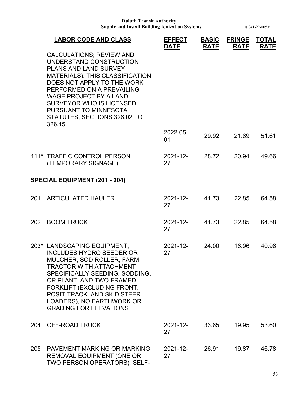|     | <b>LABOR CODE AND CLASS</b>                                                                                                                                                                                                                                                                                               | <b>EFFECT</b><br><b>DATE</b> | <b>BASIC</b><br><b>RATE</b> | <b>FRINGE</b><br><b>RATE</b> | <u>TOTAL</u><br><b>RATE</b> |
|-----|---------------------------------------------------------------------------------------------------------------------------------------------------------------------------------------------------------------------------------------------------------------------------------------------------------------------------|------------------------------|-----------------------------|------------------------------|-----------------------------|
|     | <b>CALCULATIONS; REVIEW AND</b><br>UNDERSTAND CONSTRUCTION<br>PLANS AND LAND SURVEY<br>MATERIALS). THIS CLASSIFICATION<br>DOES NOT APPLY TO THE WORK<br>PERFORMED ON A PREVAILING<br><b>WAGE PROJECT BY A LAND</b><br><b>SURVEYOR WHO IS LICENSED</b><br>PURSUANT TO MINNESOTA<br>STATUTES, SECTIONS 326.02 TO<br>326.15. |                              |                             |                              |                             |
|     |                                                                                                                                                                                                                                                                                                                           | 2022-05-<br>01               | 29.92                       | 21.69                        | 51.61                       |
|     | 111* TRAFFIC CONTROL PERSON<br>(TEMPORARY SIGNAGE)                                                                                                                                                                                                                                                                        | $2021 - 12$<br>27            | 28.72                       | 20.94                        | 49.66                       |
|     | <b>SPECIAL EQUIPMENT (201 - 204)</b>                                                                                                                                                                                                                                                                                      |                              |                             |                              |                             |
| 201 | <b>ARTICULATED HAULER</b>                                                                                                                                                                                                                                                                                                 | $2021 - 12$<br>27            | 41.73                       | 22.85                        | 64.58                       |
|     | 202 BOOM TRUCK                                                                                                                                                                                                                                                                                                            | $2021 - 12$<br>27            | 41.73                       | 22.85                        | 64.58                       |
|     | 203* LANDSCAPING EQUIPMENT,<br><b>INCLUDES HYDRO SEEDER OR</b><br>MULCHER, SOD ROLLER, FARM<br><b>TRACTOR WITH ATTACHMENT</b><br>SPECIFICALLY SEEDING, SODDING,<br>OR PLANT, AND TWO-FRAMED<br>FORKLIFT (EXCLUDING FRONT,<br>POSIT-TRACK, AND SKID STEER<br>LOADERS), NO EARTHWORK OR<br><b>GRADING FOR ELEVATIONS</b>    | $2021 - 12$<br>27            | 24.00                       | 16.96                        | 40.96                       |
| 204 | <b>OFF-ROAD TRUCK</b>                                                                                                                                                                                                                                                                                                     | 2021-12-<br>27               | 33.65                       | 19.95                        | 53.60                       |
| 205 | PAVEMENT MARKING OR MARKING<br><b>REMOVAL EQUIPMENT (ONE OR</b><br>TWO PERSON OPERATORS); SELF-                                                                                                                                                                                                                           | 2021-12-<br>27               | 26.91                       | 19.87                        | 46.78                       |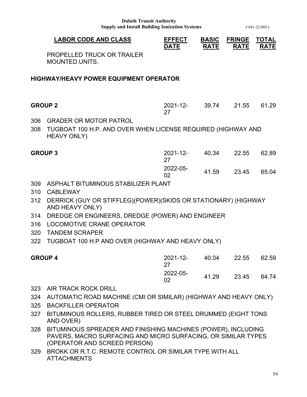# Duluth Transit Authority

|                | <b>Supply and Install Building Ionization Systems</b>                                                            |                              |                             | # 041-22-005.r               |                             |
|----------------|------------------------------------------------------------------------------------------------------------------|------------------------------|-----------------------------|------------------------------|-----------------------------|
|                | <b>LABOR CODE AND CLASS</b>                                                                                      | <b>EFFECT</b><br><b>DATE</b> | <b>BASIC</b><br><b>RATE</b> | <b>FRINGE</b><br><b>RATE</b> | <b>TOTAL</b><br><b>RATE</b> |
|                | PROPELLED TRUCK OR TRAILER<br><b>MOUNTED UNITS.</b>                                                              |                              |                             |                              |                             |
|                | <b>HIGHWAY/HEAVY POWER EQUIPMENT OPERATOR</b>                                                                    |                              |                             |                              |                             |
| <b>GROUP 2</b> |                                                                                                                  | $2021 - 12$<br>27            | 39.74                       | 21.55                        | 61.29                       |
| 308            | 306 GRADER OR MOTOR PATROL<br>TUGBOAT 100 H.P. AND OVER WHEN LICENSE REQUIRED (HIGHWAY AND<br><b>HEAVY ONLY)</b> |                              |                             |                              |                             |
| <b>GROUP 3</b> |                                                                                                                  | 2021-12-<br>27               | 40.34                       | 22.55                        | 62.89                       |
|                |                                                                                                                  | 2022-05-<br>02               | 41.59                       | 23.45                        | 65.04                       |
| 309            | ASPHALT BITUMINOUS STABILIZER PLANT                                                                              |                              |                             |                              |                             |
| 310            | <b>CABLEWAY</b>                                                                                                  |                              |                             |                              |                             |
| 312            | DERRICK (GUY OR STIFFLEG)(POWER)(SKIDS OR STATIONARY) (HIGHWAY<br>AND HEAVY ONLY)                                |                              |                             |                              |                             |
| 314            | DREDGE OR ENGINEERS, DREDGE (POWER) AND ENGINEER                                                                 |                              |                             |                              |                             |
| 316            | LOCOMOTIVE CRANE OPERATOR                                                                                        |                              |                             |                              |                             |
| 320            | <b>TANDEM SCRAPER</b>                                                                                            |                              |                             |                              |                             |
| 322            | TUGBOAT 100 H.P AND OVER (HIGHWAY AND HEAVY ONLY)                                                                |                              |                             |                              |                             |

| <b>GROUP 4</b> | $2021 - 12$<br>27 | 40.04 | 22.55 | 62.59 |
|----------------|-------------------|-------|-------|-------|
|                | 2022-05-<br>02    | 41.29 | 23.45 | 64.74 |

- 323 AIR TRACK ROCK DRILL
- 324 AUTOMATIC ROAD MACHINE (CMI OR SIMILAR) (HIGHWAY AND HEAVY ONLY)
- 325 BACKFILLER OPERATOR
- 327 BITUMINOUS ROLLERS, RUBBER TIRED OR STEEL DRUMMED (EIGHT TONS AND OVER)
- 328 BITUMINOUS SPREADER AND FINISHING MACHINES (POWER), INCLUDING PAVERS, MACRO SURFACING AND MICRO SURFACING, OR SIMILAR TYPES (OPERATOR AND SCREED PERSON)
- 329 BROKK OR R.T.C. REMOTE CONTROL OR SIMILAR TYPE WITH ALL **ATTACHMENTS**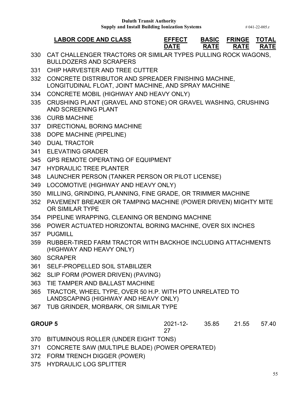| <b>LABOR CODE AND CLASS</b> | <b>EFFECT</b> |             | <b>BASIC FRINGE TOTAL</b> |             |
|-----------------------------|---------------|-------------|---------------------------|-------------|
|                             | <b>DATE</b>   | <b>RATE</b> | <b>RATE</b>               | <b>RATE</b> |
|                             |               |             |                           |             |

- 330 CAT CHALLENGER TRACTORS OR SIMILAR TYPES PULLING ROCK WAGONS, BULLDOZERS AND SCRAPERS
- 331 CHIP HARVESTER AND TREE CUTTER
- 332 CONCRETE DISTRIBUTOR AND SPREADER FINISHING MACHINE, LONGITUDINAL FLOAT, JOINT MACHINE, AND SPRAY MACHINE
- 334 CONCRETE MOBIL (HIGHWAY AND HEAVY ONLY)
- 335 CRUSHING PLANT (GRAVEL AND STONE) OR GRAVEL WASHING, CRUSHING AND SCREENING PLANT
- 336 CURB MACHINE
- 337 DIRECTIONAL BORING MACHINE
- 338 DOPE MACHINE (PIPELINE)
- 340 DUAL TRACTOR
- 341 ELEVATING GRADER
- 345 GPS REMOTE OPERATING OF EQUIPMENT
- 347 HYDRAULIC TREE PLANTER
- 348 LAUNCHER PERSON (TANKER PERSON OR PILOT LICENSE)
- 349 LOCOMOTIVE (HIGHWAY AND HEAVY ONLY)
- 350 MILLING, GRINDING, PLANNING, FINE GRADE, OR TRIMMER MACHINE
- 352 PAVEMENT BREAKER OR TAMPING MACHINE (POWER DRIVEN) MIGHTY MITE OR SIMILAR TYPE
- 354 PIPELINE WRAPPING, CLEANING OR BENDING MACHINE
- 356 POWER ACTUATED HORIZONTAL BORING MACHINE, OVER SIX INCHES
- 357 PUGMILL
- 359 RUBBER-TIRED FARM TRACTOR WITH BACKHOE INCLUDING ATTACHMENTS (HIGHWAY AND HEAVY ONLY)
- 360 SCRAPER
- 361 SELF-PROPELLED SOIL STABILIZER
- 362 SLIP FORM (POWER DRIVEN) (PAVING)
- 363 TIE TAMPER AND BALLAST MACHINE
- 365 TRACTOR, WHEEL TYPE, OVER 50 H.P. WITH PTO UNRELATED TO LANDSCAPING (HIGHWAY AND HEAVY ONLY)
- 367 TUB GRINDER, MORBARK, OR SIMILAR TYPE

| <b>GROUP 5</b> | 2021-12- 35.85 21.55 57.40 |  |  |
|----------------|----------------------------|--|--|
|                |                            |  |  |

- 370 BITUMINOUS ROLLER (UNDER EIGHT TONS)
- 371 CONCRETE SAW (MULTIPLE BLADE) (POWER OPERATED)
- 372 FORM TRENCH DIGGER (POWER)
- 375 HYDRAULIC LOG SPLITTER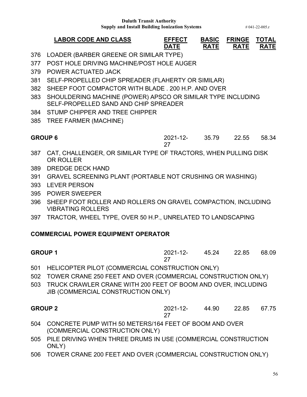| <b>LABOR CODE AND CLASS</b> | <b>EFFECT</b> | <b>BASIC</b> | <b>FRINGE</b> | TOTAL |
|-----------------------------|---------------|--------------|---------------|-------|
|                             | DATF          | <b>RATF</b>  | <b>RATE</b>   | RATE  |

- 376 LOADER (BARBER GREENE OR SIMILAR TYPE)
- 377 POST HOLE DRIVING MACHINE/POST HOLE AUGER
- 379 POWER ACTUATED JACK
- 381 SELF-PROPELLED CHIP SPREADER (FLAHERTY OR SIMILAR)
- 382 SHEEP FOOT COMPACTOR WITH BLADE . 200 H.P. AND OVER
- 383 SHOULDERING MACHINE (POWER) APSCO OR SIMILAR TYPE INCLUDING SELF-PROPELLED SAND AND CHIP SPREADER
- 384 STUMP CHIPPER AND TREE CHIPPER
- 385 TREE FARMER (MACHINE)

| <b>GROUP 6</b> | 2021-12- 35.79 22.55 58.34 |  |  |
|----------------|----------------------------|--|--|
|                |                            |  |  |

- 387 CAT, CHALLENGER, OR SIMILAR TYPE OF TRACTORS, WHEN PULLING DISK OR ROLLER
- 389 DREDGE DECK HAND
- 391 GRAVEL SCREENING PLANT (PORTABLE NOT CRUSHING OR WASHING)
- 393 LEVER PERSON
- 395 POWER SWEEPER
- 396 SHEEP FOOT ROLLER AND ROLLERS ON GRAVEL COMPACTION, INCLUDING VIBRATING ROLLERS
- 397 TRACTOR, WHEEL TYPE, OVER 50 H.P., UNRELATED TO LANDSCAPING

### COMMERCIAL POWER EQUIPMENT OPERATOR

| <b>GROUP 1</b> | $2021 - 12$ | 45.24 22.85 68.09 |  |
|----------------|-------------|-------------------|--|
|                |             |                   |  |

- 501 HELICOPTER PILOT (COMMERCIAL CONSTRUCTION ONLY)
- 502 TOWER CRANE 250 FEET AND OVER (COMMERCIAL CONSTRUCTION ONLY)
- 503 TRUCK CRAWLER CRANE WITH 200 FEET OF BOOM AND OVER, INCLUDING JIB (COMMERCIAL CONSTRUCTION ONLY)

| <b>GROUP 2</b> | 2021-12- | 44.90 22.85 67.75 |  |
|----------------|----------|-------------------|--|
|                |          |                   |  |

- 504 CONCRETE PUMP WITH 50 METERS/164 FEET OF BOOM AND OVER (COMMERCIAL CONSTRUCTION ONLY)
- 505 PILE DRIVING WHEN THREE DRUMS IN USE (COMMERCIAL CONSTRUCTION ONLY)
- 506 TOWER CRANE 200 FEET AND OVER (COMMERCIAL CONSTRUCTION ONLY)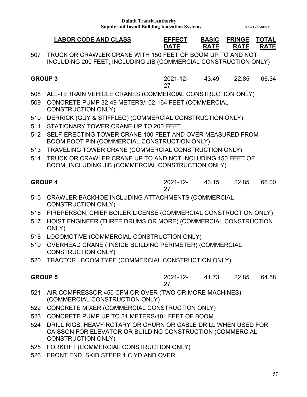| <b>LABOR CODE AND CLASS</b> | <b>EFFECT</b> |             | <b>BASIC FRINGE TOTAL</b> |             |
|-----------------------------|---------------|-------------|---------------------------|-------------|
|                             | <b>DATE</b>   | <b>RATE</b> | <b>RATE</b>               | <b>RATE</b> |

507 TRUCK OR CRAWLER CRANE WITH 150 FEET OF BOOM UP TO AND NOT INCLUDING 200 FEET, INCLUDING JIB (COMMERCIAL CONSTRUCTION ONLY)

### GROUP 3 2021-12-

27 43.49 22.85 66.34

- 508 ALL-TERRAIN VEHICLE CRANES (COMMERCIAL CONSTRUCTION ONLY)
- 509 CONCRETE PUMP 32-49 METERS/102-164 FEET (COMMERCIAL CONSTRUCTION ONLY)
- 510 DERRICK (GUY & STIFFLEG) (COMMERCIAL CONSTRUCTION ONLY)
- 511 STATIONARY TOWER CRANE UP TO 200 FEET
- 512 SELF-ERECTING TOWER CRANE 100 FEET AND OVER MEASURED FROM BOOM FOOT PIN (COMMERCIAL CONSTRUCTION ONLY)
- 513 TRAVELING TOWER CRANE (COMMERCIAL CONSTRUCTION ONLY)
- 514 TRUCK OR CRAWLER CRANE UP TO AND NOT INCLUDING 150 FEET OF BOOM, INCLUDING JIB (COMMERCIAL CONSTRUCTION ONLY)

### GROUP 4 2021-12-

27 43.15 22.85 66.00

- 515 CRAWLER BACKHOE INCLUDING ATTACHMENTS (COMMERCIAL CONSTRUCTION ONLY)
- 516 FIREPERSON, CHIEF BOILER LICENSE (COMMERCIAL CONSTRUCTION ONLY)
- 517 HOIST ENGINEER (THREE DRUMS OR MORE) (COMMERCIAL CONSTRUCTION ONLY)
- 518 LOCOMOTIVE (COMMERCIAL CONSTRUCTION ONLY)
- 519 OVERHEAD CRANE ( INSIDE BUILDING PERIMETER) (COMMERCIAL CONSTRUCTION ONLY)
- 520 TRACTOR . BOOM TYPE (COMMERCIAL CONSTRUCTION ONLY)

### GROUP 5 2021-12-

27 41.73 22.85 64.58

- 521 AIR COMPRESSOR 450 CFM OR OVER (TWO OR MORE MACHINES) (COMMERCIAL CONSTRUCTION ONLY)
- 522 CONCRETE MIXER (COMMERCIAL CONSTRUCTION ONLY)
- 523 CONCRETE PUMP UP TO 31 METERS/101 FEET OF BOOM
- 524 DRILL RIGS, HEAVY ROTARY OR CHURN OR CABLE DRILL WHEN USED FOR CAISSON FOR ELEVATOR OR BUILDING CONSTRUCTION (COMMERCIAL CONSTRUCTION ONLY)
- 525 FORKLIFT (COMMERCIAL CONSTRUCTION ONLY)
- 526 FRONT END, SKID STEER 1 C YD AND OVER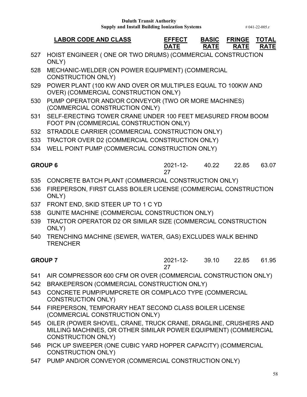LABOR CODE AND CLASS EFFECT

TOTAL

**FRINGE** 

**BASIC** 

|                |                                                                                                        | <b>DATE</b>         | <b>RATE</b> | <b>RATE</b> | <b>RATE</b> |  |  |
|----------------|--------------------------------------------------------------------------------------------------------|---------------------|-------------|-------------|-------------|--|--|
| 527            | HOIST ENGINEER (ONE OR TWO DRUMS) (COMMERCIAL CONSTRUCTION<br>ONLY)                                    |                     |             |             |             |  |  |
| 528            | MECHANIC-WELDER (ON POWER EQUIPMENT) (COMMERCIAL<br><b>CONSTRUCTION ONLY)</b>                          |                     |             |             |             |  |  |
| 529            | POWER PLANT (100 KW AND OVER OR MULTIPLES EQUAL TO 100KW AND<br>OVER) (COMMERCIAL CONSTRUCTION ONLY)   |                     |             |             |             |  |  |
| 530            | PUMP OPERATOR AND/OR CONVEYOR (TWO OR MORE MACHINES)<br>(COMMERCIAL CONSTRUCTION ONLY)                 |                     |             |             |             |  |  |
| 531            | SELF-ERECTING TOWER CRANE UNDER 100 FEET MEASURED FROM BOOM<br>FOOT PIN (COMMERCIAL CONSTRUCTION ONLY) |                     |             |             |             |  |  |
| 532            | STRADDLE CARRIER (COMMERCIAL CONSTRUCTION ONLY)                                                        |                     |             |             |             |  |  |
| 533            | TRACTOR OVER D2 (COMMERCIAL CONSTRUCTION ONLY)                                                         |                     |             |             |             |  |  |
| 534            | WELL POINT PUMP (COMMERCIAL CONSTRUCTION ONLY)                                                         |                     |             |             |             |  |  |
| <b>GROUP 6</b> |                                                                                                        | $2021 - 12 -$<br>27 | 40.22       | 22.85       | 63.07       |  |  |
| 535            | CONCRETE BATCH PLANT (COMMERCIAL CONSTRUCTION ONLY)                                                    |                     |             |             |             |  |  |
| 536            | FIREPERSON, FIRST CLASS BOILER LICENSE (COMMERCIAL CONSTRUCTION<br>ONLY)                               |                     |             |             |             |  |  |
| 537            | FRONT END, SKID STEER UP TO 1 C YD                                                                     |                     |             |             |             |  |  |
| 538            | GUNITE MACHINE (COMMERCIAL CONSTRUCTION ONLY)                                                          |                     |             |             |             |  |  |
| 539            | TRACTOR OPERATOR D2 OR SIMILAR SIZE (COMMERCIAL CONSTRUCTION<br>ONLY)                                  |                     |             |             |             |  |  |
| 540            | TRENCHING MACHINE (SEWER, WATER, GAS) EXCLUDES WALK BEHIND<br><b>TRENCHER</b>                          |                     |             |             |             |  |  |
|                | <b>GROUP 7</b>                                                                                         | $2021 - 12$ -<br>27 | 39.10       | 22.85       | 61.95       |  |  |
| 541            | AIR COMPRESSOR 600 CFM OR OVER (COMMERCIAL CONSTRUCTION ONLY)                                          |                     |             |             |             |  |  |
| 542            | BRAKEPERSON (COMMERCIAL CONSTRUCTION ONLY)                                                             |                     |             |             |             |  |  |
| 543            | CONCRETE PUMP/PUMPCRETE OR COMPLACO TYPE (COMMERCIAL<br><b>CONSTRUCTION ONLY)</b>                      |                     |             |             |             |  |  |
| 544            | FIREPERSON, TEMPORARY HEAT SECOND CLASS BOILER LICENSE                                                 |                     |             |             |             |  |  |

- 545 OILER (POWER SHOVEL, CRANE, TRUCK CRANE, DRAGLINE, CRUSHERS AND MILLING MACHINES, OR OTHER SIMILAR POWER EQUIPMENT) (COMMERCIAL CONSTRUCTION ONLY)
- 546 PICK UP SWEEPER (ONE CUBIC YARD HOPPER CAPACITY) (COMMERCIAL CONSTRUCTION ONLY)
- 547 PUMP AND/OR CONVEYOR (COMMERCIAL CONSTRUCTION ONLY)

(COMMERCIAL CONSTRUCTION ONLY)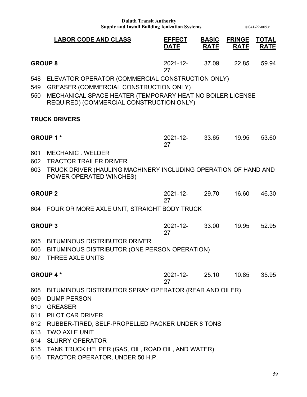|                | <b>LABOR CODE AND CLASS</b>                                                                           | <b>EFFECT</b><br><b>DATE</b> | <b>RATE</b> | <b>BASIC FRINGE</b><br><b>RATE</b> | <b>TOTAL</b><br><b>RATE</b> |  |
|----------------|-------------------------------------------------------------------------------------------------------|------------------------------|-------------|------------------------------------|-----------------------------|--|
| <b>GROUP 8</b> |                                                                                                       | 2021-12-<br>27               | 37.09       | 22.85                              | 59.94                       |  |
| 548            | ELEVATOR OPERATOR (COMMERCIAL CONSTRUCTION ONLY)                                                      |                              |             |                                    |                             |  |
| 549            | <b>GREASER (COMMERCIAL CONSTRUCTION ONLY)</b>                                                         |                              |             |                                    |                             |  |
| 550            | MECHANICAL SPACE HEATER (TEMPORARY HEAT NO BOILER LICENSE<br>REQUIRED) (COMMERCIAL CONSTRUCTION ONLY) |                              |             |                                    |                             |  |
|                | <b>TRUCK DRIVERS</b>                                                                                  |                              |             |                                    |                             |  |
|                | GROUP 1 *                                                                                             | $2021 - 12$<br>27            | 33.65       | 19.95                              | 53.60                       |  |
| 601            | <b>MECHANIC, WELDER</b>                                                                               |                              |             |                                    |                             |  |
| 602            | <b>TRACTOR TRAILER DRIVER</b>                                                                         |                              |             |                                    |                             |  |
| 603            | TRUCK DRIVER (HAULING MACHINERY INCLUDING OPERATION OF HAND AND<br>POWER OPERATED WINCHES)            |                              |             |                                    |                             |  |
|                | <b>GROUP 2</b>                                                                                        | $2021 - 12$<br>27            | 29.70       | 16.60                              | 46.30                       |  |
|                | 604 FOUR OR MORE AXLE UNIT, STRAIGHT BODY TRUCK                                                       |                              |             |                                    |                             |  |
|                | <b>GROUP 3</b>                                                                                        | $2021 - 12$<br>27            | 33.00       | 19.95                              | 52.95                       |  |
| 605            | <b>BITUMINOUS DISTRIBUTOR DRIVER</b>                                                                  |                              |             |                                    |                             |  |
| 606<br>607     | BITUMINOUS DISTRIBUTOR (ONE PERSON OPERATION)<br>THREE AXLE UNITS                                     |                              |             |                                    |                             |  |
|                | <b>GROUP 4 *</b>                                                                                      | 2021-12- 25.10<br>27         |             | 10.85                              | 35.95                       |  |
| 608            | BITUMINOUS DISTRIBUTOR SPRAY OPERATOR (REAR AND OILER)                                                |                              |             |                                    |                             |  |
| 609            | <b>DUMP PERSON</b>                                                                                    |                              |             |                                    |                             |  |
| 610            | <b>GREASER</b>                                                                                        |                              |             |                                    |                             |  |
| 611            | <b>PILOT CAR DRIVER</b>                                                                               |                              |             |                                    |                             |  |
| 612            | RUBBER-TIRED, SELF-PROPELLED PACKER UNDER 8 TONS                                                      |                              |             |                                    |                             |  |
| 613            | <b>TWO AXLE UNIT</b>                                                                                  |                              |             |                                    |                             |  |
| 614            | <b>SLURRY OPERATOR</b>                                                                                |                              |             |                                    |                             |  |
|                | 615 TANK TRUCK HELPER (GAS, OIL, ROAD OIL, AND WATER)                                                 |                              |             |                                    |                             |  |
| 616            | TRACTOR OPERATOR, UNDER 50 H.P.                                                                       |                              |             |                                    |                             |  |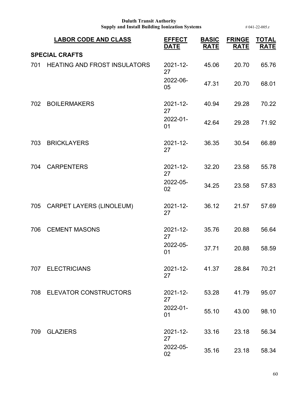|                       | <b>LABOR CODE AND CLASS</b>         | <b>EFFECT</b><br><b>DATE</b> | <b>BASIC</b><br><b>RATE</b> | <b>FRINGE</b><br><b>RATE</b> | <b>TOTAL</b><br><b>RATE</b> |  |
|-----------------------|-------------------------------------|------------------------------|-----------------------------|------------------------------|-----------------------------|--|
| <b>SPECIAL CRAFTS</b> |                                     |                              |                             |                              |                             |  |
| 701                   | <b>HEATING AND FROST INSULATORS</b> | 2021-12-<br>27               | 45.06                       | 20.70                        | 65.76                       |  |
|                       |                                     | 2022-06-<br>05               | 47.31                       | 20.70                        | 68.01                       |  |
| 702                   | <b>BOILERMAKERS</b>                 | 2021-12-<br>27               | 40.94                       | 29.28                        | 70.22                       |  |
|                       |                                     | 2022-01-<br>01               | 42.64                       | 29.28                        | 71.92                       |  |
| 703                   | <b>BRICKLAYERS</b>                  | 2021-12-<br>27               | 36.35                       | 30.54                        | 66.89                       |  |
| 704                   | <b>CARPENTERS</b>                   | 2021-12-<br>27               | 32.20                       | 23.58                        | 55.78                       |  |
|                       |                                     | 2022-05-<br>02               | 34.25                       | 23.58                        | 57.83                       |  |
| 705                   | <b>CARPET LAYERS (LINOLEUM)</b>     | 2021-12-<br>27               | 36.12                       | 21.57                        | 57.69                       |  |
| 706                   | <b>CEMENT MASONS</b>                | 2021-12-<br>27               | 35.76                       | 20.88                        | 56.64                       |  |
|                       |                                     | 2022-05-<br>01               | 37.71                       | 20.88                        | 58.59                       |  |
| 707                   | <b>ELECTRICIANS</b>                 | 2021-12-<br>27               | 41.37                       | 28.84                        | 70.21                       |  |
| 708                   | <b>ELEVATOR CONSTRUCTORS</b>        | 2021-12-<br>27               | 53.28                       | 41.79                        | 95.07                       |  |
|                       |                                     | 2022-01-<br>01               | 55.10                       | 43.00                        | 98.10                       |  |
| 709                   | <b>GLAZIERS</b>                     | 2021-12-<br>27               | 33.16                       | 23.18                        | 56.34                       |  |
|                       |                                     | 2022-05-<br>02               | 35.16                       | 23.18                        | 58.34                       |  |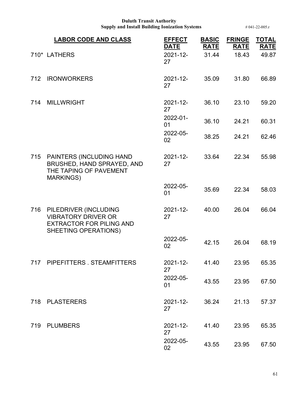|     | <b>LABOR CODE AND CLASS</b><br>710* LATHERS                                                                    | <b>EFFECT</b><br><u>DATE</u><br>2021-12- | <b>BASIC</b><br><b>RATE</b><br>31.44 | <b>FRINGE</b><br><b>RATE</b><br>18.43 | <b>TOTAL</b><br><b>RATE</b><br>49.87 |
|-----|----------------------------------------------------------------------------------------------------------------|------------------------------------------|--------------------------------------|---------------------------------------|--------------------------------------|
|     |                                                                                                                | 27                                       |                                      |                                       |                                      |
| 712 | <b>IRONWORKERS</b>                                                                                             | 2021-12-<br>27                           | 35.09                                | 31.80                                 | 66.89                                |
| 714 | <b>MILLWRIGHT</b>                                                                                              | 2021-12-<br>27                           | 36.10                                | 23.10                                 | 59.20                                |
|     |                                                                                                                | 2022-01-<br>01<br>2022-05-               | 36.10                                | 24.21                                 | 60.31                                |
|     |                                                                                                                | 02                                       | 38.25                                | 24.21                                 | 62.46                                |
| 715 | PAINTERS (INCLUDING HAND<br>BRUSHED, HAND SPRAYED, AND<br>THE TAPING OF PAVEMENT<br><b>MARKINGS)</b>           | 2021-12-<br>27                           | 33.64                                | 22.34                                 | 55.98                                |
|     |                                                                                                                | 2022-05-<br>01                           | 35.69                                | 22.34                                 | 58.03                                |
| 716 | PILEDRIVER (INCLUDING<br><b>VIBRATORY DRIVER OR</b><br><b>EXTRACTOR FOR PILING AND</b><br>SHEETING OPERATIONS) | 2021-12-<br>27                           | 40.00                                | 26.04                                 | 66.04                                |
|     |                                                                                                                | 2022-05-<br>02                           | 42.15                                | 26.04                                 | 68.19                                |
|     | 717 PIPEFITTERS. STEAMFITTERS                                                                                  | $2021 - 12 -$<br>27                      | 41.40                                | 23.95                                 | 65.35                                |
|     |                                                                                                                | 2022-05-<br>01                           | 43.55                                | 23.95                                 | 67.50                                |
|     | 718 PLASTERERS                                                                                                 | 2021-12-<br>27                           | 36.24                                | 21.13                                 | 57.37                                |
| 719 | <b>PLUMBERS</b>                                                                                                | 2021-12-<br>27                           | 41.40                                | 23.95                                 | 65.35                                |
|     |                                                                                                                | 2022-05-<br>02                           | 43.55                                | 23.95                                 | 67.50                                |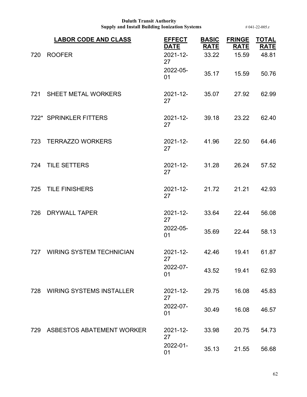| 720 | <b>LABOR CODE AND CLASS</b><br><b>ROOFER</b> | <b>EFFECT</b><br><b>DATE</b><br>2021-12-<br>27 | <b>BASIC</b><br><b>RATE</b><br>33.22 | <b>FRINGE</b><br><b>RATE</b><br>15.59 | <b>TOTAL</b><br><b>RATE</b><br>48.81 |
|-----|----------------------------------------------|------------------------------------------------|--------------------------------------|---------------------------------------|--------------------------------------|
|     |                                              | 2022-05-<br>01                                 | 35.17                                | 15.59                                 | 50.76                                |
| 721 | <b>SHEET METAL WORKERS</b>                   | $2021 - 12$<br>27                              | 35.07                                | 27.92                                 | 62.99                                |
|     | 722* SPRINKLER FITTERS                       | $2021 - 12$<br>27                              | 39.18                                | 23.22                                 | 62.40                                |
| 723 | <b>TERRAZZO WORKERS</b>                      | $2021 - 12$<br>27                              | 41.96                                | 22.50                                 | 64.46                                |
| 724 | TILE SETTERS                                 | 2021-12-<br>27                                 | 31.28                                | 26.24                                 | 57.52                                |
| 725 | <b>TILE FINISHERS</b>                        | $2021 - 12$<br>27                              | 21.72                                | 21.21                                 | 42.93                                |
| 726 | <b>DRYWALL TAPER</b>                         | 2021-12-<br>27                                 | 33.64                                | 22.44                                 | 56.08                                |
|     |                                              | 2022-05-<br>01                                 | 35.69                                | 22.44                                 | 58.13                                |
| 727 | <b>WIRING SYSTEM TECHNICIAN</b>              | $2021 - 12$<br>27                              | 42.46                                | 19.41                                 | 61.87                                |
|     |                                              | 2022-07-<br>01                                 | 43.52                                | 19.41                                 | 62.93                                |
| 728 | <b>WIRING SYSTEMS INSTALLER</b>              | 2021-12-<br>27                                 | 29.75                                | 16.08                                 | 45.83                                |
|     |                                              | 2022-07-<br>01                                 | 30.49                                | 16.08                                 | 46.57                                |
| 729 | <b>ASBESTOS ABATEMENT WORKER</b>             | 2021-12-<br>27                                 | 33.98                                | 20.75                                 | 54.73                                |
|     |                                              | 2022-01-<br>01                                 | 35.13                                | 21.55                                 | 56.68                                |